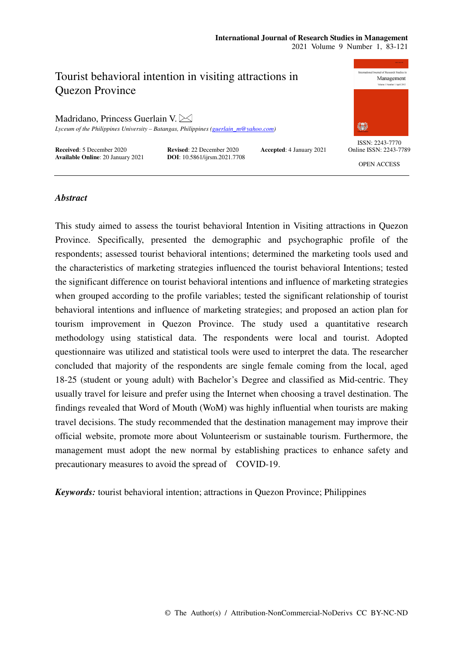## **International Journal of Research Studies in Management**

2021 Volume 9 Number 1, 83-121

# Tourist behavioral intention in visiting attractions in Quezon Province

Madridano, Princess Guerlain V.

*Lyceum of the Philippines University – Batangas, Philippines (guerlain\_m@yahoo.com)* 

**Received:** 5 December 2020 **Revised:** 22 December 2020 **Accepted:** 4 January 2021 **Available Online:** 20 January 2021 **DOI:** 10.5861/ijrsm.2021.7708 **Available Online**: 20 January 2021



ISSN: 2243-7770 Online ISSN: 2243-7789

OPEN ACCESS

## *Abstract*

This study aimed to assess the tourist behavioral Intention in Visiting attractions in Quezon Province. Specifically, presented the demographic and psychographic profile of the respondents; assessed tourist behavioral intentions; determined the marketing tools used and the characteristics of marketing strategies influenced the tourist behavioral Intentions; tested the significant difference on tourist behavioral intentions and influence of marketing strategies when grouped according to the profile variables; tested the significant relationship of tourist behavioral intentions and influence of marketing strategies; and proposed an action plan for tourism improvement in Quezon Province. The study used a quantitative research methodology using statistical data. The respondents were local and tourist. Adopted questionnaire was utilized and statistical tools were used to interpret the data. The researcher concluded that majority of the respondents are single female coming from the local, aged 18-25 (student or young adult) with Bachelor's Degree and classified as Mid-centric. They usually travel for leisure and prefer using the Internet when choosing a travel destination. The findings revealed that Word of Mouth (WoM) was highly influential when tourists are making travel decisions. The study recommended that the destination management may improve their official website, promote more about Volunteerism or sustainable tourism. Furthermore, the management must adopt the new normal by establishing practices to enhance safety and precautionary measures to avoid the spread of COVID-19.

*Keywords:* tourist behavioral intention; attractions in Quezon Province; Philippines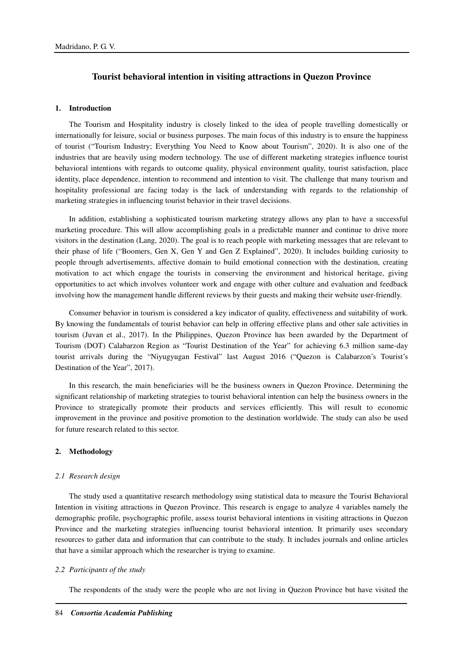## **Tourist behavioral intention in visiting attractions in Quezon Province**

## **1. Introduction**

The Tourism and Hospitality industry is closely linked to the idea of people travelling domestically or internationally for leisure, social or business purposes. The main focus of this industry is to ensure the happiness of tourist ("Tourism Industry; Everything You Need to Know about Tourism", 2020). It is also one of the industries that are heavily using modern technology. The use of different marketing strategies influence tourist behavioral intentions with regards to outcome quality, physical environment quality, tourist satisfaction, place identity, place dependence, intention to recommend and intention to visit. The challenge that many tourism and hospitality professional are facing today is the lack of understanding with regards to the relationship of marketing strategies in influencing tourist behavior in their travel decisions.

In addition, establishing a sophisticated tourism marketing strategy allows any plan to have a successful marketing procedure. This will allow accomplishing goals in a predictable manner and continue to drive more visitors in the destination (Lang, 2020). The goal is to reach people with marketing messages that are relevant to their phase of life ("Boomers, Gen X, Gen Y and Gen Z Explained", 2020). It includes building curiosity to people through advertisements, affective domain to build emotional connection with the destination, creating motivation to act which engage the tourists in conserving the environment and historical heritage, giving opportunities to act which involves volunteer work and engage with other culture and evaluation and feedback involving how the management handle different reviews by their guests and making their website user-friendly.

Consumer behavior in tourism is considered a key indicator of quality, effectiveness and suitability of work. By knowing the fundamentals of tourist behavior can help in offering effective plans and other sale activities in tourism (Juvan et al., 2017). In the Philippines, Quezon Province has been awarded by the Department of Tourism (DOT) Calabarzon Region as "Tourist Destination of the Year" for achieving 6.3 million same-day tourist arrivals during the "Niyugyugan Festival" last August 2016 ("Quezon is Calabarzon's Tourist's Destination of the Year", 2017).

In this research, the main beneficiaries will be the business owners in Quezon Province. Determining the significant relationship of marketing strategies to tourist behavioral intention can help the business owners in the Province to strategically promote their products and services efficiently. This will result to economic improvement in the province and positive promotion to the destination worldwide. The study can also be used for future research related to this sector.

#### **2. Methodology**

#### *2.1 Research design*

The study used a quantitative research methodology using statistical data to measure the Tourist Behavioral Intention in visiting attractions in Quezon Province. This research is engage to analyze 4 variables namely the demographic profile, psychographic profile, assess tourist behavioral intentions in visiting attractions in Quezon Province and the marketing strategies influencing tourist behavioral intention. It primarily uses secondary resources to gather data and information that can contribute to the study. It includes journals and online articles that have a similar approach which the researcher is trying to examine.

#### *2.2 Participants of the study*

The respondents of the study were the people who are not living in Quezon Province but have visited the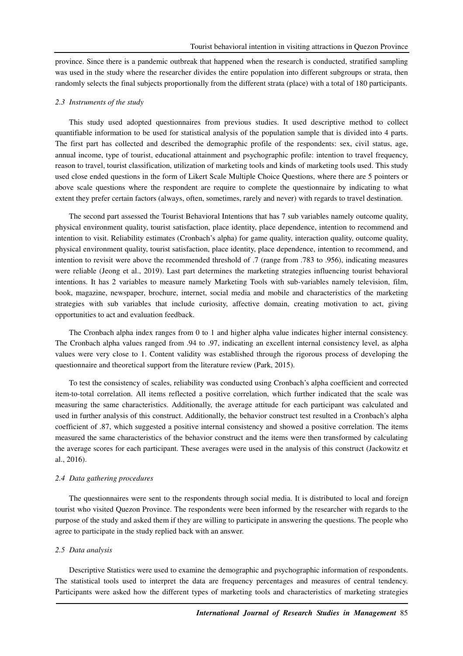province. Since there is a pandemic outbreak that happened when the research is conducted, stratified sampling was used in the study where the researcher divides the entire population into different subgroups or strata, then randomly selects the final subjects proportionally from the different strata (place) with a total of 180 participants.

#### *2.3 Instruments of the study*

This study used adopted questionnaires from previous studies. It used descriptive method to collect quantifiable information to be used for statistical analysis of the population sample that is divided into 4 parts. The first part has collected and described the demographic profile of the respondents: sex, civil status, age, annual income, type of tourist, educational attainment and psychographic profile: intention to travel frequency, reason to travel, tourist classification, utilization of marketing tools and kinds of marketing tools used. This study used close ended questions in the form of Likert Scale Multiple Choice Questions, where there are 5 pointers or above scale questions where the respondent are require to complete the questionnaire by indicating to what extent they prefer certain factors (always, often, sometimes, rarely and never) with regards to travel destination.

The second part assessed the Tourist Behavioral Intentions that has 7 sub variables namely outcome quality, physical environment quality, tourist satisfaction, place identity, place dependence, intention to recommend and intention to visit. Reliability estimates (Cronbach's alpha) for game quality, interaction quality, outcome quality, physical environment quality, tourist satisfaction, place identity, place dependence, intention to recommend, and intention to revisit were above the recommended threshold of .7 (range from .783 to .956), indicating measures were reliable (Jeong et al., 2019). Last part determines the marketing strategies influencing tourist behavioral intentions. It has 2 variables to measure namely Marketing Tools with sub-variables namely television, film, book, magazine, newspaper, brochure, internet, social media and mobile and characteristics of the marketing strategies with sub variables that include curiosity, affective domain, creating motivation to act, giving opportunities to act and evaluation feedback.

The Cronbach alpha index ranges from 0 to 1 and higher alpha value indicates higher internal consistency. The Cronbach alpha values ranged from .94 to .97, indicating an excellent internal consistency level, as alpha values were very close to 1. Content validity was established through the rigorous process of developing the questionnaire and theoretical support from the literature review (Park, 2015).

To test the consistency of scales, reliability was conducted using Cronbach's alpha coefficient and corrected item-to-total correlation. All items reflected a positive correlation, which further indicated that the scale was measuring the same characteristics. Additionally, the average attitude for each participant was calculated and used in further analysis of this construct. Additionally, the behavior construct test resulted in a Cronbach's alpha coefficient of .87, which suggested a positive internal consistency and showed a positive correlation. The items measured the same characteristics of the behavior construct and the items were then transformed by calculating the average scores for each participant. These averages were used in the analysis of this construct (Jackowitz et al., 2016).

#### *2.4 Data gathering procedures*

The questionnaires were sent to the respondents through social media. It is distributed to local and foreign tourist who visited Quezon Province. The respondents were been informed by the researcher with regards to the purpose of the study and asked them if they are willing to participate in answering the questions. The people who agree to participate in the study replied back with an answer.

#### *2.5 Data analysis*

Descriptive Statistics were used to examine the demographic and psychographic information of respondents. The statistical tools used to interpret the data are frequency percentages and measures of central tendency. Participants were asked how the different types of marketing tools and characteristics of marketing strategies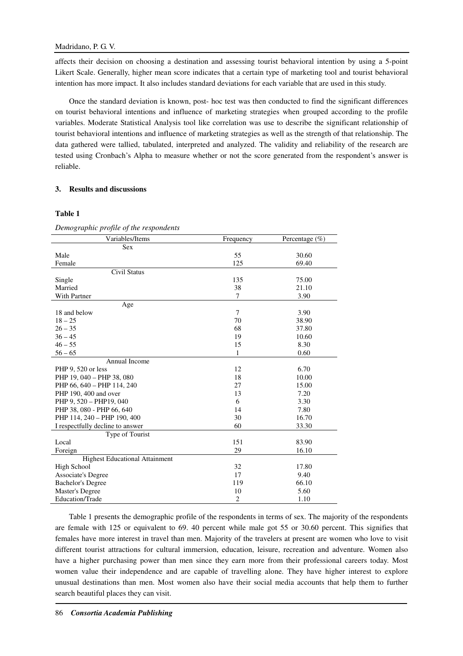affects their decision on choosing a destination and assessing tourist behavioral intention by using a 5-point Likert Scale. Generally, higher mean score indicates that a certain type of marketing tool and tourist behavioral intention has more impact. It also includes standard deviations for each variable that are used in this study.

Once the standard deviation is known, post- hoc test was then conducted to find the significant differences on tourist behavioral intentions and influence of marketing strategies when grouped according to the profile variables. Moderate Statistical Analysis tool like correlation was use to describe the significant relationship of tourist behavioral intentions and influence of marketing strategies as well as the strength of that relationship. The data gathered were tallied, tabulated, interpreted and analyzed. The validity and reliability of the research are tested using Cronbach's Alpha to measure whether or not the score generated from the respondent's answer is reliable.

## **3. Results and discussions**

## **Table 1**

*Demographic profile of the respondents*  Variables/Items Frequency Percentage (%) Sex Male  $55$  30.60 Female  $125$  69.40 Civil Status Single 135 75.00 Married 21.10 With Partner 3.90 Age 18 and below 3.90  $18 - 25$   $38.90$  $26 - 35$  68 37.80  $36 - 45$  19 10.60  $46 - 55$  8.30  $56 - 65$  1 0.60 Annual Income PHP 9, 520 or less 6.70 PHP 19, 040 – PHP 38, 080 18 18 10.00 PHP 66, 640 – PHP 114, 240 27 15.00 PHP 190, 400 and over 13 7.20 PHP 9, 520 – PHP19, 040 6 3.30<br>
PHP 38, 080 - PHP 66, 640 6 3.30 PHP 38, 080 - PHP 66, 640 14 7.80 PHP 114, 240 – PHP 190, 400 30 30 16.70 I respectfully decline to answer 60 33.30 Type of Tourist  $Local$   $151$  83.90 Foreign 29 16.10 Highest Educational Attainment High School 32 17.80<br>Associate's Degree 17 9.40 Associate's Degree Bachelor's Degree 119 66.10 Master's Degree 10 5.60<br>
Education/Trade 2 1.10 Education/Trade

Table 1 presents the demographic profile of the respondents in terms of sex. The majority of the respondents are female with 125 or equivalent to 69. 40 percent while male got 55 or 30.60 percent. This signifies that females have more interest in travel than men. Majority of the travelers at present are women who love to visit different tourist attractions for cultural immersion, education, leisure, recreation and adventure. Women also have a higher purchasing power than men since they earn more from their professional careers today. Most women value their independence and are capable of travelling alone. They have higher interest to explore unusual destinations than men. Most women also have their social media accounts that help them to further search beautiful places they can visit.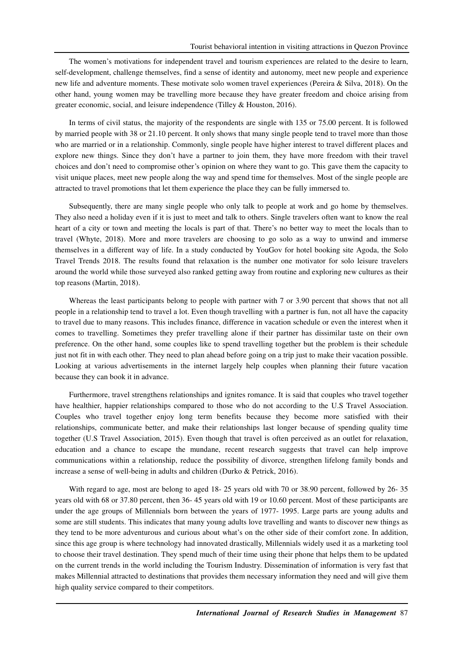The women's motivations for independent travel and tourism experiences are related to the desire to learn, self-development, challenge themselves, find a sense of identity and autonomy, meet new people and experience new life and adventure moments. These motivate solo women travel experiences (Pereira & Silva, 2018). On the other hand, young women may be travelling more because they have greater freedom and choice arising from greater economic, social, and leisure independence (Tilley & Houston, 2016).

In terms of civil status, the majority of the respondents are single with 135 or 75.00 percent. It is followed by married people with 38 or 21.10 percent. It only shows that many single people tend to travel more than those who are married or in a relationship. Commonly, single people have higher interest to travel different places and explore new things. Since they don't have a partner to join them, they have more freedom with their travel choices and don't need to compromise other's opinion on where they want to go. This gave them the capacity to visit unique places, meet new people along the way and spend time for themselves. Most of the single people are attracted to travel promotions that let them experience the place they can be fully immersed to.

Subsequently, there are many single people who only talk to people at work and go home by themselves. They also need a holiday even if it is just to meet and talk to others. Single travelers often want to know the real heart of a city or town and meeting the locals is part of that. There's no better way to meet the locals than to travel (Whyte, 2018). More and more travelers are choosing to go solo as a way to unwind and immerse themselves in a different way of life. In a study conducted by YouGov for hotel booking site Agoda, the Solo Travel Trends 2018. The results found that relaxation is the number one motivator for solo leisure travelers around the world while those surveyed also ranked getting away from routine and exploring new cultures as their top reasons (Martin, 2018).

Whereas the least participants belong to people with partner with 7 or 3.90 percent that shows that not all people in a relationship tend to travel a lot. Even though travelling with a partner is fun, not all have the capacity to travel due to many reasons. This includes finance, difference in vacation schedule or even the interest when it comes to travelling. Sometimes they prefer travelling alone if their partner has dissimilar taste on their own preference. On the other hand, some couples like to spend travelling together but the problem is their schedule just not fit in with each other. They need to plan ahead before going on a trip just to make their vacation possible. Looking at various advertisements in the internet largely help couples when planning their future vacation because they can book it in advance.

Furthermore, travel strengthens relationships and ignites romance. It is said that couples who travel together have healthier, happier relationships compared to those who do not according to the U.S Travel Association. Couples who travel together enjoy long term benefits because they become more satisfied with their relationships, communicate better, and make their relationships last longer because of spending quality time together (U.S Travel Association, 2015). Even though that travel is often perceived as an outlet for relaxation, education and a chance to escape the mundane, recent research suggests that travel can help improve communications within a relationship, reduce the possibility of divorce, strengthen lifelong family bonds and increase a sense of well-being in adults and children (Durko & Petrick, 2016).

With regard to age, most are belong to aged 18- 25 years old with 70 or 38.90 percent, followed by 26- 35 years old with 68 or 37.80 percent, then 36- 45 years old with 19 or 10.60 percent. Most of these participants are under the age groups of Millennials born between the years of 1977- 1995. Large parts are young adults and some are still students. This indicates that many young adults love travelling and wants to discover new things as they tend to be more adventurous and curious about what's on the other side of their comfort zone. In addition, since this age group is where technology had innovated drastically, Millennials widely used it as a marketing tool to choose their travel destination. They spend much of their time using their phone that helps them to be updated on the current trends in the world including the Tourism Industry. Dissemination of information is very fast that makes Millennial attracted to destinations that provides them necessary information they need and will give them high quality service compared to their competitors.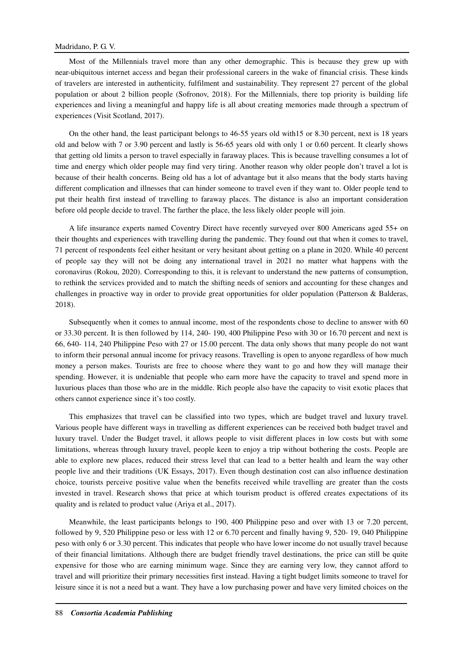Most of the Millennials travel more than any other demographic. This is because they grew up with near-ubiquitous internet access and began their professional careers in the wake of financial crisis. These kinds of travelers are interested in authenticity, fulfilment and sustainability. They represent 27 percent of the global population or about 2 billion people (Sofronov, 2018). For the Millennials, there top priority is building life experiences and living a meaningful and happy life is all about creating memories made through a spectrum of experiences (Visit Scotland, 2017).

On the other hand, the least participant belongs to 46-55 years old with15 or 8.30 percent, next is 18 years old and below with 7 or 3.90 percent and lastly is 56-65 years old with only 1 or 0.60 percent. It clearly shows that getting old limits a person to travel especially in faraway places. This is because travelling consumes a lot of time and energy which older people may find very tiring. Another reason why older people don't travel a lot is because of their health concerns. Being old has a lot of advantage but it also means that the body starts having different complication and illnesses that can hinder someone to travel even if they want to. Older people tend to put their health first instead of travelling to faraway places. The distance is also an important consideration before old people decide to travel. The farther the place, the less likely older people will join.

A life insurance experts named Coventry Direct have recently surveyed over 800 Americans aged 55+ on their thoughts and experiences with travelling during the pandemic. They found out that when it comes to travel, 71 percent of respondents feel either hesitant or very hesitant about getting on a plane in 2020. While 40 percent of people say they will not be doing any international travel in 2021 no matter what happens with the coronavirus (Rokou, 2020). Corresponding to this, it is relevant to understand the new patterns of consumption, to rethink the services provided and to match the shifting needs of seniors and accounting for these changes and challenges in proactive way in order to provide great opportunities for older population (Patterson & Balderas, 2018).

Subsequently when it comes to annual income, most of the respondents chose to decline to answer with 60 or 33.30 percent. It is then followed by 114, 240- 190, 400 Philippine Peso with 30 or 16.70 percent and next is 66, 640- 114, 240 Philippine Peso with 27 or 15.00 percent. The data only shows that many people do not want to inform their personal annual income for privacy reasons. Travelling is open to anyone regardless of how much money a person makes. Tourists are free to choose where they want to go and how they will manage their spending. However, it is undeniable that people who earn more have the capacity to travel and spend more in luxurious places than those who are in the middle. Rich people also have the capacity to visit exotic places that others cannot experience since it's too costly.

This emphasizes that travel can be classified into two types, which are budget travel and luxury travel. Various people have different ways in travelling as different experiences can be received both budget travel and luxury travel. Under the Budget travel, it allows people to visit different places in low costs but with some limitations, whereas through luxury travel, people keen to enjoy a trip without bothering the costs. People are able to explore new places, reduced their stress level that can lead to a better health and learn the way other people live and their traditions (UK Essays, 2017). Even though destination cost can also influence destination choice, tourists perceive positive value when the benefits received while travelling are greater than the costs invested in travel. Research shows that price at which tourism product is offered creates expectations of its quality and is related to product value (Ariya et al., 2017).

Meanwhile, the least participants belongs to 190, 400 Philippine peso and over with 13 or 7.20 percent, followed by 9, 520 Philippine peso or less with 12 or 6.70 percent and finally having 9, 520- 19, 040 Philippine peso with only 6 or 3.30 percent. This indicates that people who have lower income do not usually travel because of their financial limitations. Although there are budget friendly travel destinations, the price can still be quite expensive for those who are earning minimum wage. Since they are earning very low, they cannot afford to travel and will prioritize their primary necessities first instead. Having a tight budget limits someone to travel for leisure since it is not a need but a want. They have a low purchasing power and have very limited choices on the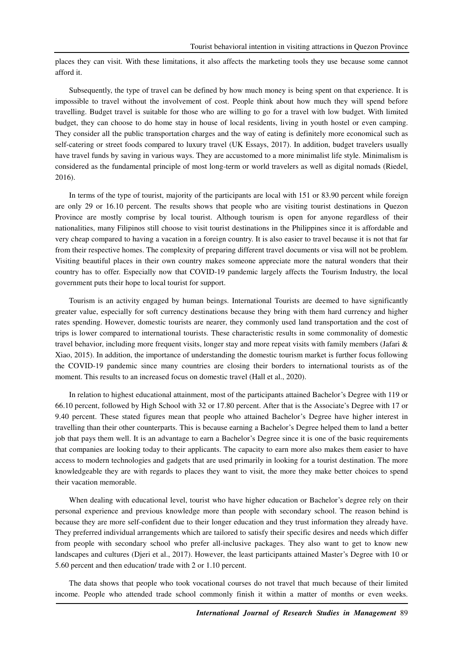places they can visit. With these limitations, it also affects the marketing tools they use because some cannot afford it.

Subsequently, the type of travel can be defined by how much money is being spent on that experience. It is impossible to travel without the involvement of cost. People think about how much they will spend before travelling. Budget travel is suitable for those who are willing to go for a travel with low budget. With limited budget, they can choose to do home stay in house of local residents, living in youth hostel or even camping. They consider all the public transportation charges and the way of eating is definitely more economical such as self-catering or street foods compared to luxury travel (UK Essays, 2017). In addition, budget travelers usually have travel funds by saving in various ways. They are accustomed to a more minimalist life style. Minimalism is considered as the fundamental principle of most long-term or world travelers as well as digital nomads (Riedel, 2016).

In terms of the type of tourist, majority of the participants are local with 151 or 83.90 percent while foreign are only 29 or 16.10 percent. The results shows that people who are visiting tourist destinations in Quezon Province are mostly comprise by local tourist. Although tourism is open for anyone regardless of their nationalities, many Filipinos still choose to visit tourist destinations in the Philippines since it is affordable and very cheap compared to having a vacation in a foreign country. It is also easier to travel because it is not that far from their respective homes. The complexity of preparing different travel documents or visa will not be problem. Visiting beautiful places in their own country makes someone appreciate more the natural wonders that their country has to offer. Especially now that COVID-19 pandemic largely affects the Tourism Industry, the local government puts their hope to local tourist for support.

Tourism is an activity engaged by human beings. International Tourists are deemed to have significantly greater value, especially for soft currency destinations because they bring with them hard currency and higher rates spending. However, domestic tourists are nearer, they commonly used land transportation and the cost of trips is lower compared to international tourists. These characteristic results in some commonality of domestic travel behavior, including more frequent visits, longer stay and more repeat visits with family members (Jafari & Xiao, 2015). In addition, the importance of understanding the domestic tourism market is further focus following the COVID-19 pandemic since many countries are closing their borders to international tourists as of the moment. This results to an increased focus on domestic travel (Hall et al., 2020).

In relation to highest educational attainment, most of the participants attained Bachelor's Degree with 119 or 66.10 percent, followed by High School with 32 or 17.80 percent. After that is the Associate's Degree with 17 or 9.40 percent. These stated figures mean that people who attained Bachelor's Degree have higher interest in travelling than their other counterparts. This is because earning a Bachelor's Degree helped them to land a better job that pays them well. It is an advantage to earn a Bachelor's Degree since it is one of the basic requirements that companies are looking today to their applicants. The capacity to earn more also makes them easier to have access to modern technologies and gadgets that are used primarily in looking for a tourist destination. The more knowledgeable they are with regards to places they want to visit, the more they make better choices to spend their vacation memorable.

When dealing with educational level, tourist who have higher education or Bachelor's degree rely on their personal experience and previous knowledge more than people with secondary school. The reason behind is because they are more self-confident due to their longer education and they trust information they already have. They preferred individual arrangements which are tailored to satisfy their specific desires and needs which differ from people with secondary school who prefer all-inclusive packages. They also want to get to know new landscapes and cultures (Djeri et al., 2017). However, the least participants attained Master's Degree with 10 or 5.60 percent and then education/ trade with 2 or 1.10 percent.

The data shows that people who took vocational courses do not travel that much because of their limited income. People who attended trade school commonly finish it within a matter of months or even weeks.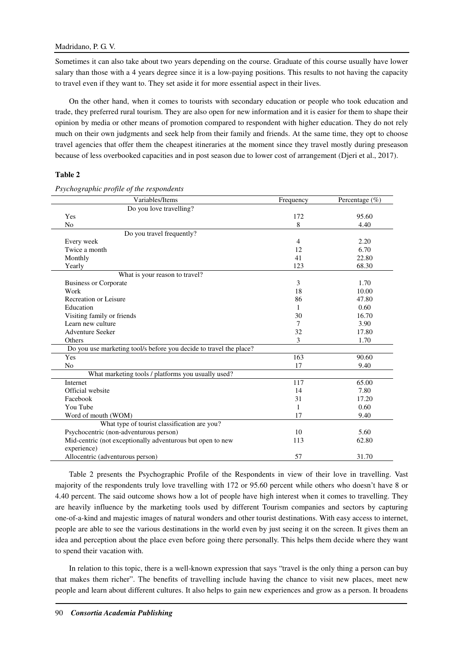Sometimes it can also take about two years depending on the course. Graduate of this course usually have lower salary than those with a 4 years degree since it is a low-paying positions. This results to not having the capacity to travel even if they want to. They set aside it for more essential aspect in their lives.

On the other hand, when it comes to tourists with secondary education or people who took education and trade, they preferred rural tourism. They are also open for new information and it is easier for them to shape their opinion by media or other means of promotion compared to respondent with higher education. They do not rely much on their own judgments and seek help from their family and friends. At the same time, they opt to choose travel agencies that offer them the cheapest itineraries at the moment since they travel mostly during preseason because of less overbooked capacities and in post season due to lower cost of arrangement (Djeri et al., 2017).

## **Table 2**

| Variables/Items                                                    | Frequency      | Percentage $(\% )$ |
|--------------------------------------------------------------------|----------------|--------------------|
| Do you love travelling?                                            |                |                    |
| Yes                                                                | 172            | 95.60              |
| No                                                                 | 8              | 4.40               |
| Do you travel frequently?                                          |                |                    |
| Every week                                                         | $\overline{4}$ | 2.20               |
| Twice a month                                                      | 12             | 6.70               |
| Monthly                                                            | 41             | 22.80              |
| Yearly                                                             | 123            | 68.30              |
| What is your reason to travel?                                     |                |                    |
| <b>Business or Corporate</b>                                       | 3              | 1.70               |
| Work                                                               | 18             | 10.00              |
| Recreation or Leisure                                              | 86             | 47.80              |
| Education                                                          | 1              | 0.60               |
| Visiting family or friends                                         | 30             | 16.70              |
| Learn new culture                                                  | 7              | 3.90               |
| <b>Adventure Seeker</b>                                            | 32             | 17.80              |
| Others                                                             | 3              | 1.70               |
| Do you use marketing tool/s before you decide to travel the place? |                |                    |
| Yes                                                                | 163            | 90.60              |
| No                                                                 | 17             | 9.40               |
| What marketing tools / platforms you usually used?                 |                |                    |
| Internet                                                           | 117            | 65.00              |
| Official website                                                   | 14             | 7.80               |
| Facebook                                                           | 31             | 17.20              |
| You Tube                                                           | 1              | 0.60               |
| Word of mouth (WOM)                                                | 17             | 9.40               |
| What type of tourist classification are you?                       |                |                    |
| Psychocentric (non-adventurous person)                             | 10             | 5.60               |
| Mid-centric (not exceptionally adventurous but open to new         | 113            | 62.80              |
| experience)                                                        |                |                    |
| Allocentric (adventurous person)                                   | 57             | 31.70              |

*Psychographic profile of the respondents* 

Table 2 presents the Psychographic Profile of the Respondents in view of their love in travelling. Vast majority of the respondents truly love travelling with 172 or 95.60 percent while others who doesn't have 8 or 4.40 percent. The said outcome shows how a lot of people have high interest when it comes to travelling. They are heavily influence by the marketing tools used by different Tourism companies and sectors by capturing one-of-a-kind and majestic images of natural wonders and other tourist destinations. With easy access to internet, people are able to see the various destinations in the world even by just seeing it on the screen. It gives them an idea and perception about the place even before going there personally. This helps them decide where they want to spend their vacation with.

In relation to this topic, there is a well-known expression that says "travel is the only thing a person can buy that makes them richer". The benefits of travelling include having the chance to visit new places, meet new people and learn about different cultures. It also helps to gain new experiences and grow as a person. It broadens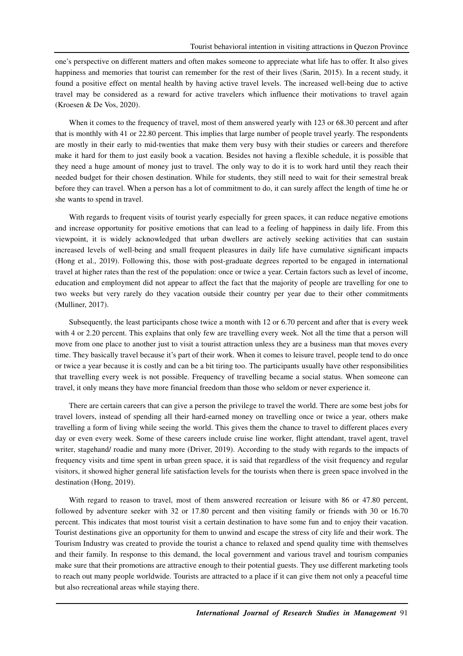one's perspective on different matters and often makes someone to appreciate what life has to offer. It also gives happiness and memories that tourist can remember for the rest of their lives (Sarin, 2015). In a recent study, it found a positive effect on mental health by having active travel levels. The increased well-being due to active travel may be considered as a reward for active travelers which influence their motivations to travel again (Kroesen & De Vos, 2020).

When it comes to the frequency of travel, most of them answered yearly with 123 or 68.30 percent and after that is monthly with 41 or 22.80 percent. This implies that large number of people travel yearly. The respondents are mostly in their early to mid-twenties that make them very busy with their studies or careers and therefore make it hard for them to just easily book a vacation. Besides not having a flexible schedule, it is possible that they need a huge amount of money just to travel. The only way to do it is to work hard until they reach their needed budget for their chosen destination. While for students, they still need to wait for their semestral break before they can travel. When a person has a lot of commitment to do, it can surely affect the length of time he or she wants to spend in travel.

With regards to frequent visits of tourist yearly especially for green spaces, it can reduce negative emotions and increase opportunity for positive emotions that can lead to a feeling of happiness in daily life. From this viewpoint, it is widely acknowledged that urban dwellers are actively seeking activities that can sustain increased levels of well-being and small frequent pleasures in daily life have cumulative significant impacts (Hong et al., 2019). Following this, those with post-graduate degrees reported to be engaged in international travel at higher rates than the rest of the population: once or twice a year. Certain factors such as level of income, education and employment did not appear to affect the fact that the majority of people are travelling for one to two weeks but very rarely do they vacation outside their country per year due to their other commitments (Mulliner, 2017).

Subsequently, the least participants chose twice a month with 12 or 6.70 percent and after that is every week with 4 or 2.20 percent. This explains that only few are travelling every week. Not all the time that a person will move from one place to another just to visit a tourist attraction unless they are a business man that moves every time. They basically travel because it's part of their work. When it comes to leisure travel, people tend to do once or twice a year because it is costly and can be a bit tiring too. The participants usually have other responsibilities that travelling every week is not possible. Frequency of travelling became a social status. When someone can travel, it only means they have more financial freedom than those who seldom or never experience it.

There are certain careers that can give a person the privilege to travel the world. There are some best jobs for travel lovers, instead of spending all their hard-earned money on travelling once or twice a year, others make travelling a form of living while seeing the world. This gives them the chance to travel to different places every day or even every week. Some of these careers include cruise line worker, flight attendant, travel agent, travel writer, stagehand/ roadie and many more (Driver, 2019). According to the study with regards to the impacts of frequency visits and time spent in urban green space, it is said that regardless of the visit frequency and regular visitors, it showed higher general life satisfaction levels for the tourists when there is green space involved in the destination (Hong, 2019).

With regard to reason to travel, most of them answered recreation or leisure with 86 or 47.80 percent, followed by adventure seeker with 32 or 17.80 percent and then visiting family or friends with 30 or 16.70 percent. This indicates that most tourist visit a certain destination to have some fun and to enjoy their vacation. Tourist destinations give an opportunity for them to unwind and escape the stress of city life and their work. The Tourism Industry was created to provide the tourist a chance to relaxed and spend quality time with themselves and their family. In response to this demand, the local government and various travel and tourism companies make sure that their promotions are attractive enough to their potential guests. They use different marketing tools to reach out many people worldwide. Tourists are attracted to a place if it can give them not only a peaceful time but also recreational areas while staying there.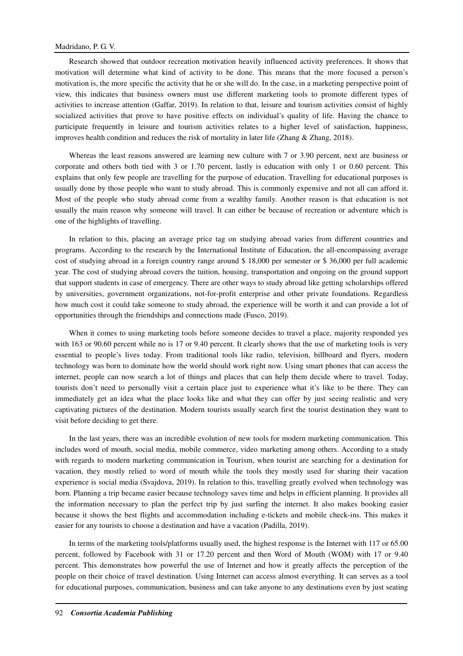Research showed that outdoor recreation motivation heavily influenced activity preferences. It shows that motivation will determine what kind of activity to be done. This means that the more focused a person's motivation is, the more specific the activity that he or she will do. In the case, in a marketing perspective point of view, this indicates that business owners must use different marketing tools to promote different types of activities to increase attention (Gaffar, 2019). In relation to that, leisure and tourism activities consist of highly socialized activities that prove to have positive effects on individual's quality of life. Having the chance to participate frequently in leisure and tourism activities relates to a higher level of satisfaction, happiness, improves health condition and reduces the risk of mortality in later life (Zhang & Zhang, 2018).

Whereas the least reasons answered are learning new culture with 7 or 3.90 percent, next are business or corporate and others both tied with 3 or 1.70 percent, lastly is education with only 1 or 0.60 percent. This explains that only few people are travelling for the purpose of education. Travelling for educational purposes is usually done by those people who want to study abroad. This is commonly expensive and not all can afford it. Most of the people who study abroad come from a wealthy family. Another reason is that education is not usually the main reason why someone will travel. It can either be because of recreation or adventure which is one of the highlights of travelling.

In relation to this, placing an average price tag on studying abroad varies from different countries and programs. According to the research by the International Institute of Education, the all-encompassing average cost of studying abroad in a foreign country range around \$ 18,000 per semester or \$ 36,000 per full academic year. The cost of studying abroad covers the tuition, housing, transportation and ongoing on the ground support that support students in case of emergency. There are other ways to study abroad like getting scholarships offered by universities, government organizations, not-for-profit enterprise and other private foundations. Regardless how much cost it could take someone to study abroad, the experience will be worth it and can provide a lot of opportunities through the friendships and connections made (Fusco, 2019).

When it comes to using marketing tools before someone decides to travel a place, majority responded yes with 163 or 90.60 percent while no is 17 or 9.40 percent. It clearly shows that the use of marketing tools is very essential to people's lives today. From traditional tools like radio, television, billboard and flyers, modern technology was born to dominate how the world should work right now. Using smart phones that can access the internet, people can now search a lot of things and places that can help them decide where to travel. Today, tourists don't need to personally visit a certain place just to experience what it's like to be there. They can immediately get an idea what the place looks like and what they can offer by just seeing realistic and very captivating pictures of the destination. Modern tourists usually search first the tourist destination they want to visit before deciding to get there.

In the last years, there was an incredible evolution of new tools for modern marketing communication. This includes word of mouth, social media, mobile commerce, video marketing among others. According to a study with regards to modern marketing communication in Tourism, when tourist are searching for a destination for vacation, they mostly relied to word of mouth while the tools they mostly used for sharing their vacation experience is social media (Svajdova, 2019). In relation to this, travelling greatly evolved when technology was born. Planning a trip became easier because technology saves time and helps in efficient planning. It provides all the information necessary to plan the perfect trip by just surfing the internet. It also makes booking easier because it shows the best flights and accommodation including e-tickets and mobile check-ins. This makes it easier for any tourists to choose a destination and have a vacation (Padilla, 2019).

In terms of the marketing tools/platforms usually used, the highest response is the Internet with 117 or 65.00 percent, followed by Facebook with 31 or 17.20 percent and then Word of Mouth (WOM) with 17 or 9.40 percent. This demonstrates how powerful the use of Internet and how it greatly affects the perception of the people on their choice of travel destination. Using Internet can access almost everything. It can serves as a tool for educational purposes, communication, business and can take anyone to any destinations even by just seating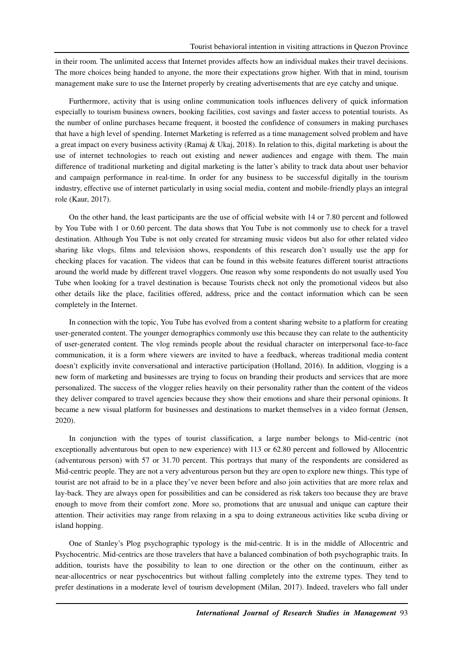in their room. The unlimited access that Internet provides affects how an individual makes their travel decisions. The more choices being handed to anyone, the more their expectations grow higher. With that in mind, tourism management make sure to use the Internet properly by creating advertisements that are eye catchy and unique.

Furthermore, activity that is using online communication tools influences delivery of quick information especially to tourism business owners, booking facilities, cost savings and faster access to potential tourists. As the number of online purchases became frequent, it boosted the confidence of consumers in making purchases that have a high level of spending. Internet Marketing is referred as a time management solved problem and have a great impact on every business activity (Ramaj & Ukaj, 2018). In relation to this, digital marketing is about the use of internet technologies to reach out existing and newer audiences and engage with them. The main difference of traditional marketing and digital marketing is the latter's ability to track data about user behavior and campaign performance in real-time. In order for any business to be successful digitally in the tourism industry, effective use of internet particularly in using social media, content and mobile-friendly plays an integral role (Kaur, 2017).

On the other hand, the least participants are the use of official website with 14 or 7.80 percent and followed by You Tube with 1 or 0.60 percent. The data shows that You Tube is not commonly use to check for a travel destination. Although You Tube is not only created for streaming music videos but also for other related video sharing like vlogs, films and television shows, respondents of this research don't usually use the app for checking places for vacation. The videos that can be found in this website features different tourist attractions around the world made by different travel vloggers. One reason why some respondents do not usually used You Tube when looking for a travel destination is because Tourists check not only the promotional videos but also other details like the place, facilities offered, address, price and the contact information which can be seen completely in the Internet.

In connection with the topic, You Tube has evolved from a content sharing website to a platform for creating user-generated content. The younger demographics commonly use this because they can relate to the authenticity of user-generated content. The vlog reminds people about the residual character on interpersonal face-to-face communication, it is a form where viewers are invited to have a feedback, whereas traditional media content doesn't explicitly invite conversational and interactive participation (Holland, 2016). In addition, vlogging is a new form of marketing and businesses are trying to focus on branding their products and services that are more personalized. The success of the vlogger relies heavily on their personality rather than the content of the videos they deliver compared to travel agencies because they show their emotions and share their personal opinions. It became a new visual platform for businesses and destinations to market themselves in a video format (Jensen, 2020).

In conjunction with the types of tourist classification, a large number belongs to Mid-centric (not exceptionally adventurous but open to new experience) with 113 or 62.80 percent and followed by Allocentric (adventurous person) with 57 or 31.70 percent. This portrays that many of the respondents are considered as Mid-centric people. They are not a very adventurous person but they are open to explore new things. This type of tourist are not afraid to be in a place they've never been before and also join activities that are more relax and lay-back. They are always open for possibilities and can be considered as risk takers too because they are brave enough to move from their comfort zone. More so, promotions that are unusual and unique can capture their attention. Their activities may range from relaxing in a spa to doing extraneous activities like scuba diving or island hopping.

One of Stanley's Plog psychographic typology is the mid-centric. It is in the middle of Allocentric and Psychocentric. Mid-centrics are those travelers that have a balanced combination of both psychographic traits. In addition, tourists have the possibility to lean to one direction or the other on the continuum, either as near-allocentrics or near pyschocentrics but without falling completely into the extreme types. They tend to prefer destinations in a moderate level of tourism development (Milan, 2017). Indeed, travelers who fall under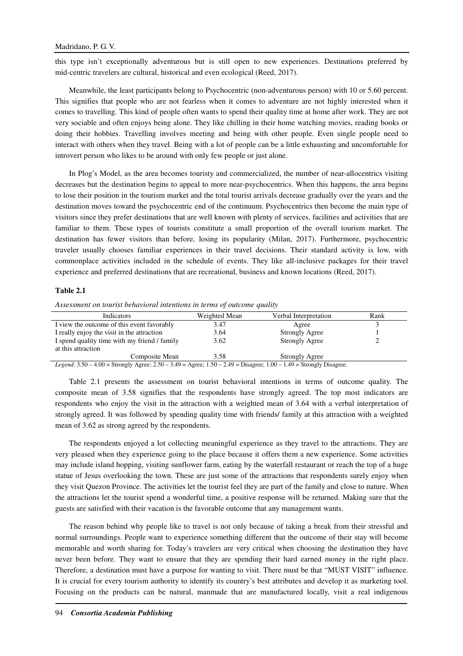this type isn't exceptionally adventurous but is still open to new experiences. Destinations preferred by mid-centric travelers are cultural, historical and even ecological (Reed, 2017).

Meanwhile, the least participants belong to Psychocentric (non-adventurous person) with 10 or 5.60 percent. This signifies that people who are not fearless when it comes to adventure are not highly interested when it comes to travelling. This kind of people often wants to spend their quality time at home after work. They are not very sociable and often enjoys being alone. They like chilling in their home watching movies, reading books or doing their hobbies. Travelling involves meeting and being with other people. Even single people need to interact with others when they travel. Being with a lot of people can be a little exhausting and uncomfortable for introvert person who likes to be around with only few people or just alone.

In Plog's Model, as the area becomes touristy and commercialized, the number of near-allocentrics visiting decreases but the destination begins to appeal to more near-psychocentrics. When this happens, the area begins to lose their position in the tourism market and the total tourist arrivals decrease gradually over the years and the destination moves toward the psychocentric end of the continuum. Psychocentrics then become the main type of visitors since they prefer destinations that are well known with plenty of services, facilities and activities that are familiar to them. These types of tourists constitute a small proportion of the overall tourism market. The destination has fewer visitors than before, losing its popularity (Milan, 2017). Furthermore, psychocentric traveler usually chooses familiar experiences in their travel decisions. Their standard activity is low, with commonplace activities included in the schedule of events. They like all-inclusive packages for their travel experience and preferred destinations that are recreational, business and known locations (Reed, 2017).

#### **Table 2.1**

| Indicators                                                                                                                  | Weighted Mean | Verbal Interpretation | Rank |  |
|-----------------------------------------------------------------------------------------------------------------------------|---------------|-----------------------|------|--|
| I view the outcome of this event favorably                                                                                  | 3.47          | Agree                 |      |  |
| I really enjoy the visit in the attraction                                                                                  | 3.64          | <b>Strongly Agree</b> |      |  |
| I spend quality time with my friend / family                                                                                | 3.62          | <b>Strongly Agree</b> |      |  |
| at this attraction                                                                                                          |               |                       |      |  |
| Composite Mean                                                                                                              | 3.58          | Strongly Agree        |      |  |
| Legend: $3.50 - 4.00 =$ Strongly Agree; $2.50 - 3.49 =$ Agree; $1.50 - 2.49 =$ Disagree; $1.00 - 1.49 =$ Strongly Disagree. |               |                       |      |  |

*Assessment on tourist behavioral intentions in terms of outcome quality* 

Table 2.1 presents the assessment on tourist behavioral intentions in terms of outcome quality. The composite mean of 3.58 signifies that the respondents have strongly agreed. The top most indicators are respondents who enjoy the visit in the attraction with a weighted mean of 3.64 with a verbal interpretation of strongly agreed. It was followed by spending quality time with friends/ family at this attraction with a weighted mean of 3.62 as strong agreed by the respondents.

The respondents enjoyed a lot collecting meaningful experience as they travel to the attractions. They are very pleased when they experience going to the place because it offers them a new experience. Some activities may include island hopping, visiting sunflower farm, eating by the waterfall restaurant or reach the top of a huge statue of Jesus overlooking the town. These are just some of the attractions that respondents surely enjoy when they visit Quezon Province. The activities let the tourist feel they are part of the family and close to nature. When the attractions let the tourist spend a wonderful time, a positive response will be returned. Making sure that the guests are satisfied with their vacation is the favorable outcome that any management wants.

The reason behind why people like to travel is not only because of taking a break from their stressful and normal surroundings. People want to experience something different that the outcome of their stay will become memorable and worth sharing for. Today's travelers are very critical when choosing the destination they have never been before. They want to ensure that they are spending their hard earned money in the right place. Therefore, a destination must have a purpose for wanting to visit. There must be that "MUST VISIT" influence. It is crucial for every tourism authority to identify its country's best attributes and develop it as marketing tool. Focusing on the products can be natural, manmade that are manufactured locally, visit a real indigenous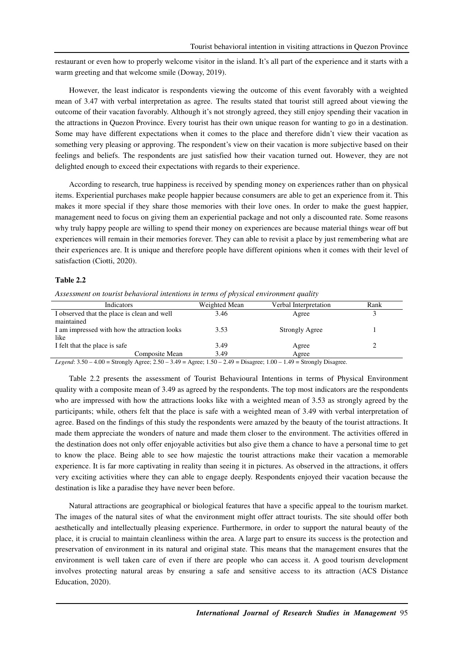restaurant or even how to properly welcome visitor in the island. It's all part of the experience and it starts with a warm greeting and that welcome smile (Doway, 2019).

However, the least indicator is respondents viewing the outcome of this event favorably with a weighted mean of 3.47 with verbal interpretation as agree. The results stated that tourist still agreed about viewing the outcome of their vacation favorably. Although it's not strongly agreed, they still enjoy spending their vacation in the attractions in Quezon Province. Every tourist has their own unique reason for wanting to go in a destination. Some may have different expectations when it comes to the place and therefore didn't view their vacation as something very pleasing or approving. The respondent's view on their vacation is more subjective based on their feelings and beliefs. The respondents are just satisfied how their vacation turned out. However, they are not delighted enough to exceed their expectations with regards to their experience.

According to research, true happiness is received by spending money on experiences rather than on physical items. Experiential purchases make people happier because consumers are able to get an experience from it. This makes it more special if they share those memories with their love ones. In order to make the guest happier, management need to focus on giving them an experiential package and not only a discounted rate. Some reasons why truly happy people are willing to spend their money on experiences are because material things wear off but experiences will remain in their memories forever. They can able to revisit a place by just remembering what are their experiences are. It is unique and therefore people have different opinions when it comes with their level of satisfaction (Ciotti, 2020).

#### **Table 2.2**

*Assessment on tourist behavioral intentions in terms of physical environment quality* 

| Indicators                                   | Weighted Mean | Verbal Interpretation | Rank |
|----------------------------------------------|---------------|-----------------------|------|
| I observed that the place is clean and well  | 3.46          | Agree                 |      |
| maintained                                   |               |                       |      |
| I am impressed with how the attraction looks | 3.53          | Strongly Agree        |      |
| like                                         |               |                       |      |
| I felt that the place is safe                | 3.49          | Agree                 |      |
| Composite Mean                               | 3.49          | Agree                 |      |

*Legend*: 3.50 – 4.00 = Strongly Agree; 2.50 – 3.49 = Agree; 1.50 – 2.49 = Disagree; 1.00 – 1.49 = Strongly Disagree.

Table 2.2 presents the assessment of Tourist Behavioural Intentions in terms of Physical Environment quality with a composite mean of 3.49 as agreed by the respondents. The top most indicators are the respondents who are impressed with how the attractions looks like with a weighted mean of 3.53 as strongly agreed by the participants; while, others felt that the place is safe with a weighted mean of 3.49 with verbal interpretation of agree. Based on the findings of this study the respondents were amazed by the beauty of the tourist attractions. It made them appreciate the wonders of nature and made them closer to the environment. The activities offered in the destination does not only offer enjoyable activities but also give them a chance to have a personal time to get to know the place. Being able to see how majestic the tourist attractions make their vacation a memorable experience. It is far more captivating in reality than seeing it in pictures. As observed in the attractions, it offers very exciting activities where they can able to engage deeply. Respondents enjoyed their vacation because the destination is like a paradise they have never been before.

Natural attractions are geographical or biological features that have a specific appeal to the tourism market. The images of the natural sites of what the environment might offer attract tourists. The site should offer both aesthetically and intellectually pleasing experience. Furthermore, in order to support the natural beauty of the place, it is crucial to maintain cleanliness within the area. A large part to ensure its success is the protection and preservation of environment in its natural and original state. This means that the management ensures that the environment is well taken care of even if there are people who can access it. A good tourism development involves protecting natural areas by ensuring a safe and sensitive access to its attraction (ACS Distance Education, 2020).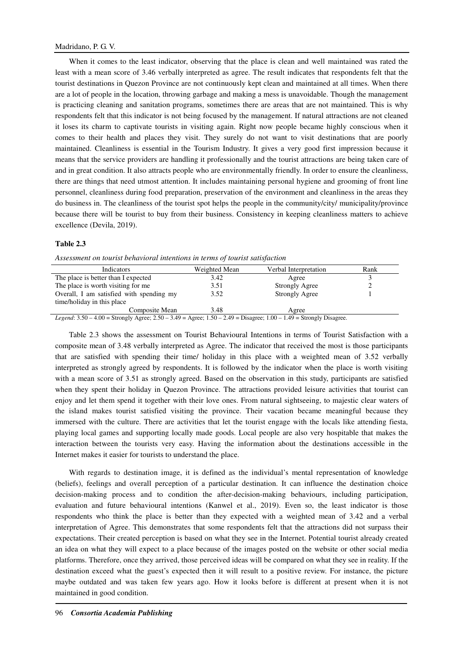When it comes to the least indicator, observing that the place is clean and well maintained was rated the least with a mean score of 3.46 verbally interpreted as agree. The result indicates that respondents felt that the tourist destinations in Quezon Province are not continuously kept clean and maintained at all times. When there are a lot of people in the location, throwing garbage and making a mess is unavoidable. Though the management is practicing cleaning and sanitation programs, sometimes there are areas that are not maintained. This is why respondents felt that this indicator is not being focused by the management. If natural attractions are not cleaned it loses its charm to captivate tourists in visiting again. Right now people became highly conscious when it comes to their health and places they visit. They surely do not want to visit destinations that are poorly maintained. Cleanliness is essential in the Tourism Industry. It gives a very good first impression because it means that the service providers are handling it professionally and the tourist attractions are being taken care of and in great condition. It also attracts people who are environmentally friendly. In order to ensure the cleanliness, there are things that need utmost attention. It includes maintaining personal hygiene and grooming of front line personnel, cleanliness during food preparation, preservation of the environment and cleanliness in the areas they do business in. The cleanliness of the tourist spot helps the people in the community/city/ municipality/province because there will be tourist to buy from their business. Consistency in keeping cleanliness matters to achieve excellence (Devila, 2019).

## **Table 2.3**

| Indicators                                                                                                                                                                             | Weighted Mean | Verbal Interpretation | Rank |
|----------------------------------------------------------------------------------------------------------------------------------------------------------------------------------------|---------------|-----------------------|------|
| The place is better than I expected                                                                                                                                                    | 3.42          | Agree                 |      |
| The place is worth visiting for me                                                                                                                                                     | 3.51          | <b>Strongly Agree</b> |      |
| Overall, I am satisfied with spending my                                                                                                                                               | 3.52          | <b>Strongly Agree</b> |      |
| time/holiday in this place                                                                                                                                                             |               |                       |      |
| Composite Mean                                                                                                                                                                         | 3.48          | Agree                 |      |
| $I_1, \ldots, I_n \circ \epsilon_0 = 1.00$ $\epsilon_0, \ldots, \epsilon_n = 0.70$ $\epsilon_0 = 2.40$ $\epsilon_1 = 1.60$ $\epsilon_1 = 0.40$ $\epsilon_1 = 1.00$ $\epsilon_2 = 1.00$ |               |                       |      |

| Assessment on tourist behavioral intentions in terms of tourist satisfaction |  |  |  |
|------------------------------------------------------------------------------|--|--|--|
|------------------------------------------------------------------------------|--|--|--|

*Legend*: 3.50 – 4.00 = Strongly Agree; 2.50 – 3.49 = Agree; 1.50 – 2.49 = Disagree; 1.00 – 1.49 = Strongly Disagree.

Table 2.3 shows the assessment on Tourist Behavioural Intentions in terms of Tourist Satisfaction with a composite mean of 3.48 verbally interpreted as Agree. The indicator that received the most is those participants that are satisfied with spending their time/ holiday in this place with a weighted mean of 3.52 verbally interpreted as strongly agreed by respondents. It is followed by the indicator when the place is worth visiting with a mean score of 3.51 as strongly agreed. Based on the observation in this study, participants are satisfied when they spent their holiday in Quezon Province. The attractions provided leisure activities that tourist can enjoy and let them spend it together with their love ones. From natural sightseeing, to majestic clear waters of the island makes tourist satisfied visiting the province. Their vacation became meaningful because they immersed with the culture. There are activities that let the tourist engage with the locals like attending fiesta, playing local games and supporting locally made goods. Local people are also very hospitable that makes the interaction between the tourists very easy. Having the information about the destinations accessible in the Internet makes it easier for tourists to understand the place.

With regards to destination image, it is defined as the individual's mental representation of knowledge (beliefs), feelings and overall perception of a particular destination. It can influence the destination choice decision-making process and to condition the after-decision-making behaviours, including participation, evaluation and future behavioural intentions (Kanwel et al., 2019). Even so, the least indicator is those respondents who think the place is better than they expected with a weighted mean of 3.42 and a verbal interpretation of Agree. This demonstrates that some respondents felt that the attractions did not surpass their expectations. Their created perception is based on what they see in the Internet. Potential tourist already created an idea on what they will expect to a place because of the images posted on the website or other social media platforms. Therefore, once they arrived, those perceived ideas will be compared on what they see in reality. If the destination exceed what the guest's expected then it will result to a positive review. For instance, the picture maybe outdated and was taken few years ago. How it looks before is different at present when it is not maintained in good condition.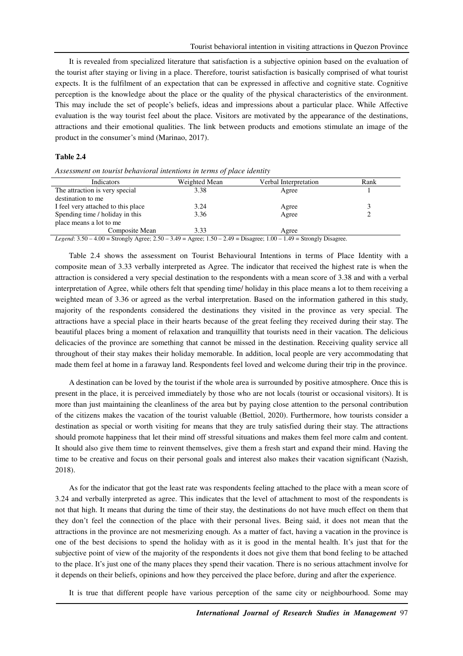It is revealed from specialized literature that satisfaction is a subjective opinion based on the evaluation of the tourist after staying or living in a place. Therefore, tourist satisfaction is basically comprised of what tourist expects. It is the fulfilment of an expectation that can be expressed in affective and cognitive state. Cognitive perception is the knowledge about the place or the quality of the physical characteristics of the environment. This may include the set of people's beliefs, ideas and impressions about a particular place. While Affective evaluation is the way tourist feel about the place. Visitors are motivated by the appearance of the destinations, attractions and their emotional qualities. The link between products and emotions stimulate an image of the product in the consumer's mind (Marinao, 2017).

#### **Table 2.4**

*Assessment on tourist behavioral intentions in terms of place identity* 

| <b>Indicators</b>                                                                                                           | Weighted Mean | Verbal Interpretation | Rank |
|-----------------------------------------------------------------------------------------------------------------------------|---------------|-----------------------|------|
| The attraction is very special                                                                                              | 3.38          | Agree                 |      |
| destination to me                                                                                                           |               |                       |      |
| I feel very attached to this place                                                                                          | 3.24          | Agree                 | 3    |
| Spending time / holiday in this                                                                                             | 3.36          | Agree                 |      |
| place means a lot to me                                                                                                     |               |                       |      |
| Composite Mean                                                                                                              | 3.33          | Agree                 |      |
| Legend: $3.50 - 4.00 =$ Strongly Agree; $2.50 - 3.49 =$ Agree; $1.50 - 2.49 =$ Disagree; $1.00 - 1.49 =$ Strongly Disagree. |               |                       |      |

Table 2.4 shows the assessment on Tourist Behavioural Intentions in terms of Place Identity with a composite mean of 3.33 verbally interpreted as Agree. The indicator that received the highest rate is when the attraction is considered a very special destination to the respondents with a mean score of 3.38 and with a verbal interpretation of Agree, while others felt that spending time/ holiday in this place means a lot to them receiving a weighted mean of 3.36 or agreed as the verbal interpretation. Based on the information gathered in this study, majority of the respondents considered the destinations they visited in the province as very special. The attractions have a special place in their hearts because of the great feeling they received during their stay. The beautiful places bring a moment of relaxation and tranquillity that tourists need in their vacation. The delicious delicacies of the province are something that cannot be missed in the destination. Receiving quality service all throughout of their stay makes their holiday memorable. In addition, local people are very accommodating that made them feel at home in a faraway land. Respondents feel loved and welcome during their trip in the province.

A destination can be loved by the tourist if the whole area is surrounded by positive atmosphere. Once this is present in the place, it is perceived immediately by those who are not locals (tourist or occasional visitors). It is more than just maintaining the cleanliness of the area but by paying close attention to the personal contribution of the citizens makes the vacation of the tourist valuable (Bettiol, 2020). Furthermore, how tourists consider a destination as special or worth visiting for means that they are truly satisfied during their stay. The attractions should promote happiness that let their mind off stressful situations and makes them feel more calm and content. It should also give them time to reinvent themselves, give them a fresh start and expand their mind. Having the time to be creative and focus on their personal goals and interest also makes their vacation significant (Nazish, 2018).

As for the indicator that got the least rate was respondents feeling attached to the place with a mean score of 3.24 and verbally interpreted as agree. This indicates that the level of attachment to most of the respondents is not that high. It means that during the time of their stay, the destinations do not have much effect on them that they don't feel the connection of the place with their personal lives. Being said, it does not mean that the attractions in the province are not mesmerizing enough. As a matter of fact, having a vacation in the province is one of the best decisions to spend the holiday with as it is good in the mental health. It's just that for the subjective point of view of the majority of the respondents it does not give them that bond feeling to be attached to the place. It's just one of the many places they spend their vacation. There is no serious attachment involve for it depends on their beliefs, opinions and how they perceived the place before, during and after the experience.

It is true that different people have various perception of the same city or neighbourhood. Some may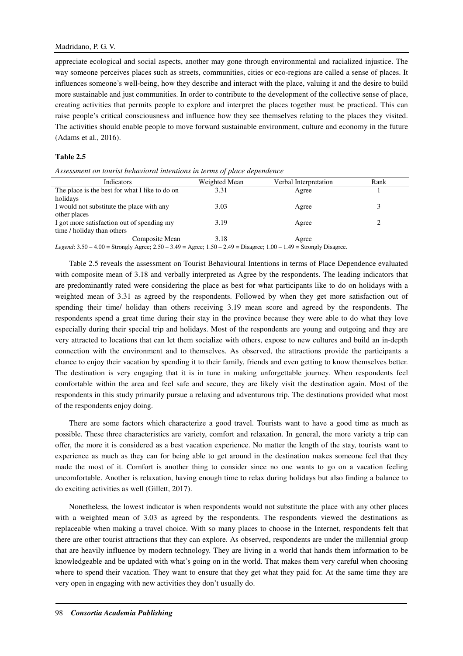appreciate ecological and social aspects, another may gone through environmental and racialized injustice. The way someone perceives places such as streets, communities, cities or eco-regions are called a sense of places. It influences someone's well-being, how they describe and interact with the place, valuing it and the desire to build more sustainable and just communities. In order to contribute to the development of the collective sense of place, creating activities that permits people to explore and interpret the places together must be practiced. This can raise people's critical consciousness and influence how they see themselves relating to the places they visited. The activities should enable people to move forward sustainable environment, culture and economy in the future (Adams et al., 2016).

## **Table 2.5**

| Indicators                                                                                                                                                     | Weighted Mean | Verbal Interpretation | Rank |
|----------------------------------------------------------------------------------------------------------------------------------------------------------------|---------------|-----------------------|------|
| The place is the best for what I like to do on                                                                                                                 | 3.31          | Agree                 |      |
| holidays                                                                                                                                                       |               |                       |      |
| I would not substitute the place with any                                                                                                                      | 3.03          | Agree                 |      |
| other places                                                                                                                                                   |               |                       |      |
| I got more satisfaction out of spending my                                                                                                                     | 3.19          | Agree                 |      |
| time / holiday than others                                                                                                                                     |               |                       |      |
| Composite Mean                                                                                                                                                 | 3.18          | Agree                 |      |
| Legend: $3.50$ $\pm$ 00 $\pm$ Strongly Agree: $2.50$ $\pm$ $3.40$ $\pm$ Agree: $1.50$ $\pm$ $2.40$ $\pm$ Disparse: $1.00$ $\pm$ $1.40$ $\pm$ Strongly Disparse |               |                       |      |

*Assessment on tourist behavioral intentions in terms of place dependence* 

*Legend*: 3.50 – 4.00 = Strongly Agree; 2.50 – 3.49 = Agree; 1.50 – 2.49 = Disagree; 1.00 – 1.49 = Strongly Disagree.

Table 2.5 reveals the assessment on Tourist Behavioural Intentions in terms of Place Dependence evaluated with composite mean of 3.18 and verbally interpreted as Agree by the respondents. The leading indicators that are predominantly rated were considering the place as best for what participants like to do on holidays with a weighted mean of 3.31 as agreed by the respondents. Followed by when they get more satisfaction out of spending their time/ holiday than others receiving 3.19 mean score and agreed by the respondents. The respondents spend a great time during their stay in the province because they were able to do what they love especially during their special trip and holidays. Most of the respondents are young and outgoing and they are very attracted to locations that can let them socialize with others, expose to new cultures and build an in-depth connection with the environment and to themselves. As observed, the attractions provide the participants a chance to enjoy their vacation by spending it to their family, friends and even getting to know themselves better. The destination is very engaging that it is in tune in making unforgettable journey. When respondents feel comfortable within the area and feel safe and secure, they are likely visit the destination again. Most of the respondents in this study primarily pursue a relaxing and adventurous trip. The destinations provided what most of the respondents enjoy doing.

There are some factors which characterize a good travel. Tourists want to have a good time as much as possible. These three characteristics are variety, comfort and relaxation. In general, the more variety a trip can offer, the more it is considered as a best vacation experience. No matter the length of the stay, tourists want to experience as much as they can for being able to get around in the destination makes someone feel that they made the most of it. Comfort is another thing to consider since no one wants to go on a vacation feeling uncomfortable. Another is relaxation, having enough time to relax during holidays but also finding a balance to do exciting activities as well (Gillett, 2017).

Nonetheless, the lowest indicator is when respondents would not substitute the place with any other places with a weighted mean of 3.03 as agreed by the respondents. The respondents viewed the destinations as replaceable when making a travel choice. With so many places to choose in the Internet, respondents felt that there are other tourist attractions that they can explore. As observed, respondents are under the millennial group that are heavily influence by modern technology. They are living in a world that hands them information to be knowledgeable and be updated with what's going on in the world. That makes them very careful when choosing where to spend their vacation. They want to ensure that they get what they paid for. At the same time they are very open in engaging with new activities they don't usually do.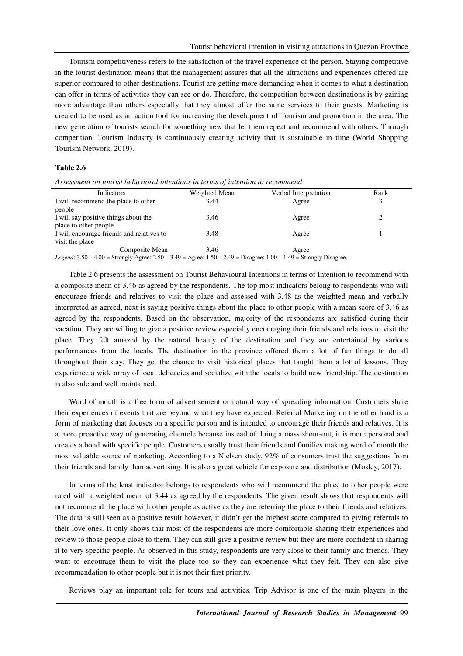Tourism competitiveness refers to the satisfaction of the travel experience of the person. Staying competitive in the tourist destination means that the management assures that all the attractions and experiences offered are superior compared to other destinations. Tourist are getting more demanding when it comes to what a destination can offer in terms of activities they can see or do. Therefore, the competition between destinations is by gaining more advantage than others especially that they almost offer the same services to their guests. Marketing is created to be used as an action tool for increasing the development of Tourism and promotion in the area. The new generation of tourists search for something new that let them repeat and recommend with others. Through competition, Tourism Industry is continuously creating activity that is sustainable in time (World Shopping Tourism Network, 2019).

#### **Table 2.6**

| Indicators                                                                                                                  | Weighted Mean | Verbal Interpretation | Rank |
|-----------------------------------------------------------------------------------------------------------------------------|---------------|-----------------------|------|
| I will recommend the place to other                                                                                         | 3.44          | Agree                 |      |
| people                                                                                                                      |               |                       |      |
| I will say positive things about the                                                                                        | 3.46          | Agree                 |      |
| place to other people                                                                                                       |               |                       |      |
| I will encourage friends and relatives to                                                                                   | 3.48          | Agree                 |      |
| visit the place                                                                                                             |               |                       |      |
| Composite Mean                                                                                                              | 3.46          | Agree                 |      |
| Legend: $3.50 - 4.00 =$ Strongly Agree; $2.50 - 3.49 =$ Agree; $1.50 - 2.49 =$ Disagree; $1.00 - 1.49 =$ Strongly Disagree. |               |                       |      |

*Assessment on tourist behavioral intentions in terms of intention to recommend* 

Table 2.6 presents the assessment on Tourist Behavioural Intentions in terms of Intention to recommend with a composite mean of 3.46 as agreed by the respondents. The top most indicators belong to respondents who will encourage friends and relatives to visit the place and assessed with 3.48 as the weighted mean and verbally interpreted as agreed, next is saying positive things about the place to other people with a mean score of 3.46 as agreed by the respondents. Based on the observation, majority of the respondents are satisfied during their vacation. They are willing to give a positive review especially encouraging their friends and relatives to visit the place. They felt amazed by the natural beauty of the destination and they are entertained by various performances from the locals. The destination in the province offered them a lot of fun things to do all throughout their stay. They get the chance to visit historical places that taught them a lot of lessons. They experience a wide array of local delicacies and socialize with the locals to build new friendship. The destination is also safe and well maintained.

Word of mouth is a free form of advertisement or natural way of spreading information. Customers share their experiences of events that are beyond what they have expected. Referral Marketing on the other hand is a form of marketing that focuses on a specific person and is intended to encourage their friends and relatives. It is a more proactive way of generating clientele because instead of doing a mass shout-out, it is more personal and creates a bond with specific people. Customers usually trust their friends and families making word of mouth the most valuable source of marketing. According to a Nielsen study, 92% of consumers trust the suggestions from their friends and family than advertising. It is also a great vehicle for exposure and distribution (Mosley, 2017).

In terms of the least indicator belongs to respondents who will recommend the place to other people were rated with a weighted mean of 3.44 as agreed by the respondents. The given result shows that respondents will not recommend the place with other people as active as they are referring the place to their friends and relatives. The data is still seen as a positive result however, it didn't get the highest score compared to giving referrals to their love ones. It only shows that most of the respondents are more comfortable sharing their experiences and review to those people close to them. They can still give a positive review but they are more confident in sharing it to very specific people. As observed in this study, respondents are very close to their family and friends. They want to encourage them to visit the place too so they can experience what they felt. They can also give recommendation to other people but it is not their first priority.

Reviews play an important role for tours and activities. Trip Advisor is one of the main players in the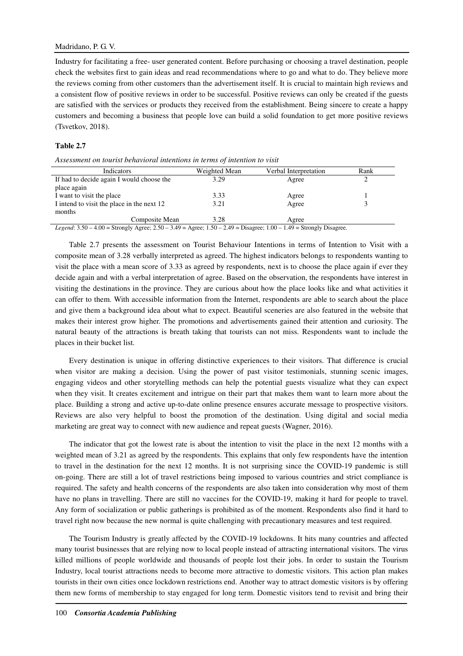Industry for facilitating a free- user generated content. Before purchasing or choosing a travel destination, people check the websites first to gain ideas and read recommendations where to go and what to do. They believe more the reviews coming from other customers than the advertisement itself. It is crucial to maintain high reviews and a consistent flow of positive reviews in order to be successful. Positive reviews can only be created if the guests are satisfied with the services or products they received from the establishment. Being sincere to create a happy customers and becoming a business that people love can build a solid foundation to get more positive reviews (Tsvetkov, 2018).

## **Table 2.7**

| Assessment on tourist behavioral intentions in terms of intention to visit |  |  |  |
|----------------------------------------------------------------------------|--|--|--|
|                                                                            |  |  |  |

| Indicators                                                                                                                  | Weighted Mean | Verbal Interpretation | Rank |  |
|-----------------------------------------------------------------------------------------------------------------------------|---------------|-----------------------|------|--|
| If had to decide again I would choose the                                                                                   | 3.29          | Agree                 |      |  |
| place again                                                                                                                 |               |                       |      |  |
| I want to visit the place                                                                                                   | 3.33          | Agree                 |      |  |
| I intend to visit the place in the next 12                                                                                  | 3.21          | Agree                 |      |  |
| months                                                                                                                      |               |                       |      |  |
| Composite Mean                                                                                                              | 3.28          | Agree                 |      |  |
| Legend: $3.50 - 4.00 =$ Strongly Agree; $2.50 - 3.49 =$ Agree; $1.50 - 2.49 =$ Disagree; $1.00 - 1.49 =$ Strongly Disagree. |               |                       |      |  |

Table 2.7 presents the assessment on Tourist Behaviour Intentions in terms of Intention to Visit with a composite mean of 3.28 verbally interpreted as agreed. The highest indicators belongs to respondents wanting to visit the place with a mean score of 3.33 as agreed by respondents, next is to choose the place again if ever they decide again and with a verbal interpretation of agree. Based on the observation, the respondents have interest in visiting the destinations in the province. They are curious about how the place looks like and what activities it can offer to them. With accessible information from the Internet, respondents are able to search about the place and give them a background idea about what to expect. Beautiful sceneries are also featured in the website that makes their interest grow higher. The promotions and advertisements gained their attention and curiosity. The natural beauty of the attractions is breath taking that tourists can not miss. Respondents want to include the places in their bucket list.

Every destination is unique in offering distinctive experiences to their visitors. That difference is crucial when visitor are making a decision. Using the power of past visitor testimonials, stunning scenic images, engaging videos and other storytelling methods can help the potential guests visualize what they can expect when they visit. It creates excitement and intrigue on their part that makes them want to learn more about the place. Building a strong and active up-to-date online presence ensures accurate message to prospective visitors. Reviews are also very helpful to boost the promotion of the destination. Using digital and social media marketing are great way to connect with new audience and repeat guests (Wagner, 2016).

The indicator that got the lowest rate is about the intention to visit the place in the next 12 months with a weighted mean of 3.21 as agreed by the respondents. This explains that only few respondents have the intention to travel in the destination for the next 12 months. It is not surprising since the COVID-19 pandemic is still on-going. There are still a lot of travel restrictions being imposed to various countries and strict compliance is required. The safety and health concerns of the respondents are also taken into consideration why most of them have no plans in travelling. There are still no vaccines for the COVID-19, making it hard for people to travel. Any form of socialization or public gatherings is prohibited as of the moment. Respondents also find it hard to travel right now because the new normal is quite challenging with precautionary measures and test required.

The Tourism Industry is greatly affected by the COVID-19 lockdowns. It hits many countries and affected many tourist businesses that are relying now to local people instead of attracting international visitors. The virus killed millions of people worldwide and thousands of people lost their jobs. In order to sustain the Tourism Industry, local tourist attractions needs to become more attractive to domestic visitors. This action plan makes tourists in their own cities once lockdown restrictions end. Another way to attract domestic visitors is by offering them new forms of membership to stay engaged for long term. Domestic visitors tend to revisit and bring their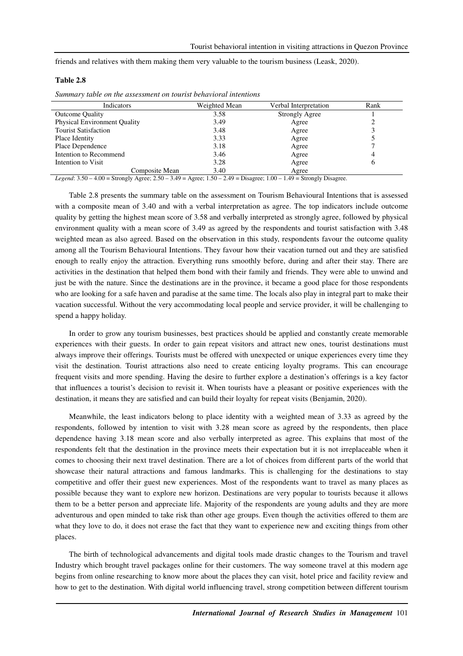friends and relatives with them making them very valuable to the tourism business (Leask, 2020).

## **Table 2.8**

| Summary table on the assessment on tourist behavioral intentions |
|------------------------------------------------------------------|
|------------------------------------------------------------------|

| Indicators                          | Weighted Mean | Verbal Interpretation | Rank |
|-------------------------------------|---------------|-----------------------|------|
| <b>Outcome Quality</b>              | 3.58          | Strongly Agree        |      |
| <b>Physical Environment Quality</b> | 3.49          | Agree                 |      |
| <b>Tourist Satisfaction</b>         | 3.48          | Agree                 |      |
| Place Identity                      | 3.33          | Agree                 |      |
| Place Dependence                    | 3.18          | Agree                 |      |
| Intention to Recommend              | 3.46          | Agree                 |      |
| Intention to Visit                  | 3.28          | Agree                 |      |
| Composite Mean                      | 3.40          | Agree                 |      |

*Legend*: 3.50 – 4.00 = Strongly Agree; 2.50 – 3.49 = Agree; 1.50 – 2.49 = Disagree; 1.00 – 1.49 = Strongly Disagree.

Table 2.8 presents the summary table on the assessment on Tourism Behavioural Intentions that is assessed with a composite mean of 3.40 and with a verbal interpretation as agree. The top indicators include outcome quality by getting the highest mean score of 3.58 and verbally interpreted as strongly agree, followed by physical environment quality with a mean score of 3.49 as agreed by the respondents and tourist satisfaction with 3.48 weighted mean as also agreed. Based on the observation in this study, respondents favour the outcome quality among all the Tourism Behavioural Intentions. They favour how their vacation turned out and they are satisfied enough to really enjoy the attraction. Everything runs smoothly before, during and after their stay. There are activities in the destination that helped them bond with their family and friends. They were able to unwind and just be with the nature. Since the destinations are in the province, it became a good place for those respondents who are looking for a safe haven and paradise at the same time. The locals also play in integral part to make their vacation successful. Without the very accommodating local people and service provider, it will be challenging to spend a happy holiday.

In order to grow any tourism businesses, best practices should be applied and constantly create memorable experiences with their guests. In order to gain repeat visitors and attract new ones, tourist destinations must always improve their offerings. Tourists must be offered with unexpected or unique experiences every time they visit the destination. Tourist attractions also need to create enticing loyalty programs. This can encourage frequent visits and more spending. Having the desire to further explore a destination's offerings is a key factor that influences a tourist's decision to revisit it. When tourists have a pleasant or positive experiences with the destination, it means they are satisfied and can build their loyalty for repeat visits (Benjamin, 2020).

Meanwhile, the least indicators belong to place identity with a weighted mean of 3.33 as agreed by the respondents, followed by intention to visit with 3.28 mean score as agreed by the respondents, then place dependence having 3.18 mean score and also verbally interpreted as agree. This explains that most of the respondents felt that the destination in the province meets their expectation but it is not irreplaceable when it comes to choosing their next travel destination. There are a lot of choices from different parts of the world that showcase their natural attractions and famous landmarks. This is challenging for the destinations to stay competitive and offer their guest new experiences. Most of the respondents want to travel as many places as possible because they want to explore new horizon. Destinations are very popular to tourists because it allows them to be a better person and appreciate life. Majority of the respondents are young adults and they are more adventurous and open minded to take risk than other age groups. Even though the activities offered to them are what they love to do, it does not erase the fact that they want to experience new and exciting things from other places.

The birth of technological advancements and digital tools made drastic changes to the Tourism and travel Industry which brought travel packages online for their customers. The way someone travel at this modern age begins from online researching to know more about the places they can visit, hotel price and facility review and how to get to the destination. With digital world influencing travel, strong competition between different tourism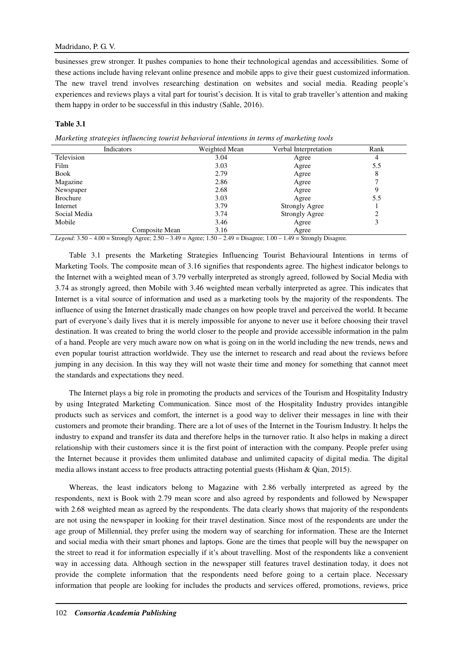## Madridano, P. G. V.

businesses grew stronger. It pushes companies to hone their technological agendas and accessibilities. Some of these actions include having relevant online presence and mobile apps to give their guest customized information. The new travel trend involves researching destination on websites and social media. Reading people's experiences and reviews plays a vital part for tourist's decision. It is vital to grab traveller's attention and making them happy in order to be successful in this industry (Sahle, 2016).

## **Table 3.1**

*Marketing strategies influencing tourist behavioral intentions in terms of marketing tools* 

| Indicators      |                | Weighted Mean | Verbal Interpretation | Rank |
|-----------------|----------------|---------------|-----------------------|------|
| Television      |                | 3.04          | Agree                 | 4    |
| Film            |                | 3.03          | Agree                 | 5.5  |
| Book            |                | 2.79          | Agree                 | 8    |
| Magazine        |                | 2.86          | Agree                 |      |
| Newspaper       |                | 2.68          | Agree                 |      |
| <b>Brochure</b> |                | 3.03          | Agree                 | 5.5  |
| Internet        |                | 3.79          | Strongly Agree        |      |
| Social Media    |                | 3.74          | <b>Strongly Agree</b> |      |
| Mobile          |                | 3.46          | Agree                 |      |
|                 | Composite Mean | 3.16          | Agree                 |      |

*Legend*: 3.50 – 4.00 = Strongly Agree; 2.50 – 3.49 = Agree; 1.50 – 2.49 = Disagree; 1.00 – 1.49 = Strongly Disagree.

Table 3.1 presents the Marketing Strategies Influencing Tourist Behavioural Intentions in terms of Marketing Tools. The composite mean of 3.16 signifies that respondents agree. The highest indicator belongs to the Internet with a weighted mean of 3.79 verbally interpreted as strongly agreed, followed by Social Media with 3.74 as strongly agreed, then Mobile with 3.46 weighted mean verbally interpreted as agree. This indicates that Internet is a vital source of information and used as a marketing tools by the majority of the respondents. The influence of using the Internet drastically made changes on how people travel and perceived the world. It became part of everyone's daily lives that it is merely impossible for anyone to never use it before choosing their travel destination. It was created to bring the world closer to the people and provide accessible information in the palm of a hand. People are very much aware now on what is going on in the world including the new trends, news and even popular tourist attraction worldwide. They use the internet to research and read about the reviews before jumping in any decision. In this way they will not waste their time and money for something that cannot meet the standards and expectations they need.

The Internet plays a big role in promoting the products and services of the Tourism and Hospitality Industry by using Integrated Marketing Communication. Since most of the Hospitality Industry provides intangible products such as services and comfort, the internet is a good way to deliver their messages in line with their customers and promote their branding. There are a lot of uses of the Internet in the Tourism Industry. It helps the industry to expand and transfer its data and therefore helps in the turnover ratio. It also helps in making a direct relationship with their customers since it is the first point of interaction with the company. People prefer using the Internet because it provides them unlimited database and unlimited capacity of digital media. The digital media allows instant access to free products attracting potential guests (Hisham & Qian, 2015).

Whereas, the least indicators belong to Magazine with 2.86 verbally interpreted as agreed by the respondents, next is Book with 2.79 mean score and also agreed by respondents and followed by Newspaper with 2.68 weighted mean as agreed by the respondents. The data clearly shows that majority of the respondents are not using the newspaper in looking for their travel destination. Since most of the respondents are under the age group of Millennial, they prefer using the modern way of searching for information. These are the Internet and social media with their smart phones and laptops. Gone are the times that people will buy the newspaper on the street to read it for information especially if it's about travelling. Most of the respondents like a convenient way in accessing data. Although section in the newspaper still features travel destination today, it does not provide the complete information that the respondents need before going to a certain place. Necessary information that people are looking for includes the products and services offered, promotions, reviews, price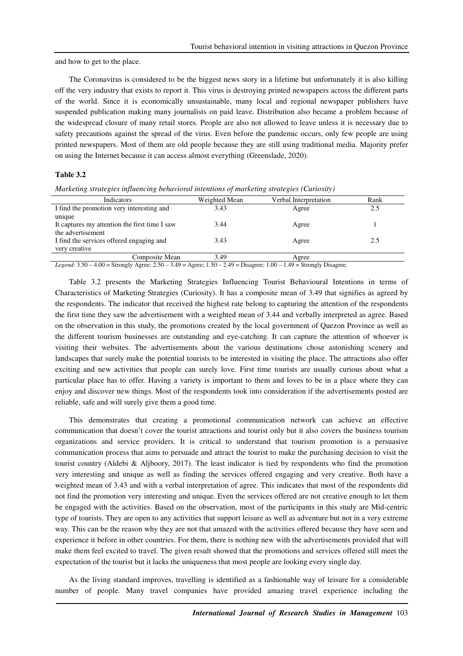and how to get to the place.

The Coronavirus is considered to be the biggest news story in a lifetime but unfortunately it is also killing off the very industry that exists to report it. This virus is destroying printed newspapers across the different parts of the world. Since it is economically unsustainable, many local and regional newspaper publishers have suspended publication making many journalists on paid leave. Distribution also became a problem because of the widespread closure of many retail stores. People are also not allowed to leave unless it is necessary due to safety precautions against the spread of the virus. Even before the pandemic occurs, only few people are using printed newspapers. Most of them are old people because they are still using traditional media. Majority prefer on using the Internet because it can access almost everything (Greenslade, 2020).

## **Table 3.2**

| Indicators                                                                                                                 | Weighted Mean | Verbal Interpretation | Rank |
|----------------------------------------------------------------------------------------------------------------------------|---------------|-----------------------|------|
| I find the promotion very interesting and                                                                                  | 3.43          | Agree                 | 2.5  |
| unique                                                                                                                     |               |                       |      |
| It captures my attention the first time I saw                                                                              | 3.44          | Agree                 |      |
| the advertisement                                                                                                          |               |                       |      |
| I find the services offered engaging and                                                                                   | 3.43          | Agree                 | 2.5  |
| very creative                                                                                                              |               |                       |      |
| Composite Mean                                                                                                             | 3.49          | Agree                 |      |
| Legend: $3.50 - 4.00 =$ Strongly Agree: $2.50 - 3.49 =$ Agree: $1.50 - 2.49 =$ Disagree: $1.00 - 1.49 =$ Strongly Disagree |               |                       |      |

*Marketing strategies influencing behavioral intentions of marketing strategies (Curiosity)* 

*Legend*: 3.50 – 4.00 = Strongly Agree; 2.50 – 3.49 = Agree; 1.50 – 2.49 = Disagree; 1.00 – 1.49 = Strongly Disagree.

Table 3.2 presents the Marketing Strategies Influencing Tourist Behavioural Intentions in terms of Characteristics of Marketing Strategies (Curiosity). It has a composite mean of 3.49 that signifies as agreed by the respondents. The indicator that received the highest rate belong to capturing the attention of the respondents the first time they saw the advertisement with a weighted mean of 3.44 and verbally interpreted as agree. Based on the observation in this study, the promotions created by the local government of Quezon Province as well as the different tourism businesses are outstanding and eye-catching. It can capture the attention of whoever is visiting their websites. The advertisements about the various destinations chose astonishing scenery and landscapes that surely make the potential tourists to be interested in visiting the place. The attractions also offer exciting and new activities that people can surely love. First time tourists are usually curious about what a particular place has to offer. Having a variety is important to them and loves to be in a place where they can enjoy and discover new things. Most of the respondents took into consideration if the advertisements posted are reliable, safe and will surely give them a good time.

This demonstrates that creating a promotional communication network can achieve an effective communication that doesn't cover the tourist attractions and tourist only but it also covers the business tourism organizations and service providers. It is critical to understand that tourism promotion is a persuasive communication process that aims to persuade and attract the tourist to make the purchasing decision to visit the tourist country (Aldebi & Aljboory, 2017). The least indicator is tied by respondents who find the promotion very interesting and unique as well as finding the services offered engaging and very creative. Both have a weighted mean of 3.43 and with a verbal interpretation of agree. This indicates that most of the respondents did not find the promotion very interesting and unique. Even the services offered are not creative enough to let them be engaged with the activities. Based on the observation, most of the participants in this study are Mid-centric type of tourists. They are open to any activities that support leisure as well as adventure but not in a very extreme way. This can be the reason why they are not that amazed with the activities offered because they have seen and experience it before in other countries. For them, there is nothing new with the advertisements provided that will make them feel excited to travel. The given result showed that the promotions and services offered still meet the expectation of the tourist but it lacks the uniqueness that most people are looking every single day.

As the living standard improves, travelling is identified as a fashionable way of leisure for a considerable number of people. Many travel companies have provided amazing travel experience including the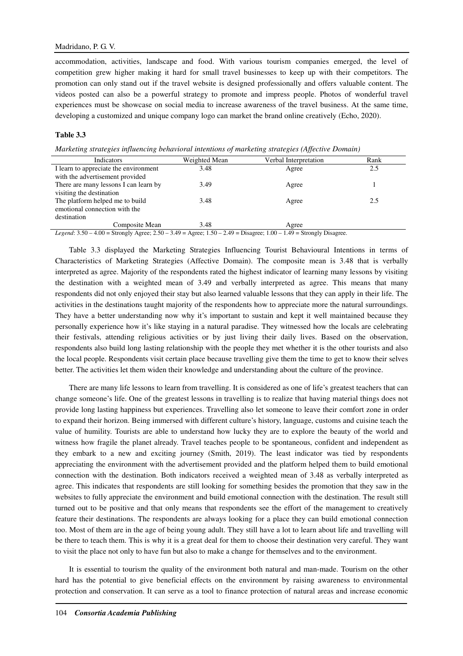accommodation, activities, landscape and food. With various tourism companies emerged, the level of competition grew higher making it hard for small travel businesses to keep up with their competitors. The promotion can only stand out if the travel website is designed professionally and offers valuable content. The videos posted can also be a powerful strategy to promote and impress people. Photos of wonderful travel experiences must be showcase on social media to increase awareness of the travel business. At the same time, developing a customized and unique company logo can market the brand online creatively (Echo, 2020).

## **Table 3.3**

*Marketing strategies influencing behavioral intentions of marketing strategies (Affective Domain)* 

| Indicators                            | Weighted Mean | Verbal Interpretation                                                                                                                                                                                                                                                                                                                                                      | Rank |
|---------------------------------------|---------------|----------------------------------------------------------------------------------------------------------------------------------------------------------------------------------------------------------------------------------------------------------------------------------------------------------------------------------------------------------------------------|------|
| I learn to appreciate the environment | 3.48          | Agree                                                                                                                                                                                                                                                                                                                                                                      | 2.5  |
| with the advertisement provided       |               |                                                                                                                                                                                                                                                                                                                                                                            |      |
| There are many lessons I can learn by | 3.49          | Agree                                                                                                                                                                                                                                                                                                                                                                      |      |
| visiting the destination              |               |                                                                                                                                                                                                                                                                                                                                                                            |      |
| The platform helped me to build       | 3.48          | Agree                                                                                                                                                                                                                                                                                                                                                                      | 2.5  |
| emotional connection with the         |               |                                                                                                                                                                                                                                                                                                                                                                            |      |
| destination                           |               |                                                                                                                                                                                                                                                                                                                                                                            |      |
| Composite Mean                        | 3.48          | Agree                                                                                                                                                                                                                                                                                                                                                                      |      |
|                                       |               | $I_{\text{non}}$ , $I_{\text{on}}$ , $I_{\text{on}}$ $I_{\text{on}}$ $I_{\text{on}}$ , $I_{\text{on}}$ , $I_{\text{on}}$ , $I_{\text{on}}$ , $I_{\text{on}}$ , $I_{\text{on}}$ , $I_{\text{on}}$ , $I_{\text{on}}$ , $I_{\text{on}}$ , $I_{\text{on}}$ , $I_{\text{on}}$ , $I_{\text{on}}$ , $I_{\text{on}}$ , $I_{\text{on}}$ , $I_{\text{on}}$ , $I_{\text{on}}$ , $I_{$ |      |

*Legend*: 3.50 – 4.00 = Strongly Agree; 2.50 – 3.49 = Agree; 1.50 – 2.49 = Disagree; 1.00 – 1.49 = Strongly Disagree.

Table 3.3 displayed the Marketing Strategies Influencing Tourist Behavioural Intentions in terms of Characteristics of Marketing Strategies (Affective Domain). The composite mean is 3.48 that is verbally interpreted as agree. Majority of the respondents rated the highest indicator of learning many lessons by visiting the destination with a weighted mean of 3.49 and verbally interpreted as agree. This means that many respondents did not only enjoyed their stay but also learned valuable lessons that they can apply in their life. The activities in the destinations taught majority of the respondents how to appreciate more the natural surroundings. They have a better understanding now why it's important to sustain and kept it well maintained because they personally experience how it's like staying in a natural paradise. They witnessed how the locals are celebrating their festivals, attending religious activities or by just living their daily lives. Based on the observation, respondents also build long lasting relationship with the people they met whether it is the other tourists and also the local people. Respondents visit certain place because travelling give them the time to get to know their selves better. The activities let them widen their knowledge and understanding about the culture of the province.

There are many life lessons to learn from travelling. It is considered as one of life's greatest teachers that can change someone's life. One of the greatest lessons in travelling is to realize that having material things does not provide long lasting happiness but experiences. Travelling also let someone to leave their comfort zone in order to expand their horizon. Being immersed with different culture's history, language, customs and cuisine teach the value of humility. Tourists are able to understand how lucky they are to explore the beauty of the world and witness how fragile the planet already. Travel teaches people to be spontaneous, confident and independent as they embark to a new and exciting journey (Smith, 2019). The least indicator was tied by respondents appreciating the environment with the advertisement provided and the platform helped them to build emotional connection with the destination. Both indicators received a weighted mean of 3.48 as verbally interpreted as agree. This indicates that respondents are still looking for something besides the promotion that they saw in the websites to fully appreciate the environment and build emotional connection with the destination. The result still turned out to be positive and that only means that respondents see the effort of the management to creatively feature their destinations. The respondents are always looking for a place they can build emotional connection too. Most of them are in the age of being young adult. They still have a lot to learn about life and travelling will be there to teach them. This is why it is a great deal for them to choose their destination very careful. They want to visit the place not only to have fun but also to make a change for themselves and to the environment.

It is essential to tourism the quality of the environment both natural and man-made. Tourism on the other hard has the potential to give beneficial effects on the environment by raising awareness to environmental protection and conservation. It can serve as a tool to finance protection of natural areas and increase economic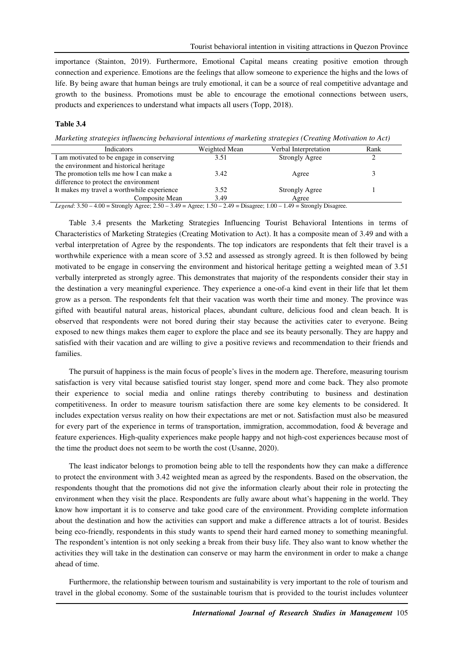importance (Stainton, 2019). Furthermore, Emotional Capital means creating positive emotion through connection and experience. Emotions are the feelings that allow someone to experience the highs and the lows of life. By being aware that human beings are truly emotional, it can be a source of real competitive advantage and growth to the business. Promotions must be able to encourage the emotional connections between users, products and experiences to understand what impacts all users (Topp, 2018).

#### **Table 3.4**

*Marketing strategies influencing behavioral intentions of marketing strategies (Creating Motivation to Act)* 

| Indicators                                 | Weighted Mean | Verbal Interpretation | Rank |
|--------------------------------------------|---------------|-----------------------|------|
| I am motivated to be engage in conserving  | 3.51          | <b>Strongly Agree</b> |      |
| the environment and historical heritage    |               |                       |      |
| The promotion tells me how I can make a    | 3.42          | Agree                 |      |
| difference to protect the environment      |               |                       |      |
| It makes my travel a worthwhile experience | 3.52          | <b>Strongly Agree</b> |      |
| Composite Mean                             | 3.49          | Agree                 |      |
| .                                          | $-1$          | .                     |      |

*Legend*: 3.50 – 4.00 = Strongly Agree; 2.50 – 3.49 = Agree; 1.50 – 2.49 = Disagree; 1.00 – 1.49 = Strongly Disagree.

Table 3.4 presents the Marketing Strategies Influencing Tourist Behavioral Intentions in terms of Characteristics of Marketing Strategies (Creating Motivation to Act). It has a composite mean of 3.49 and with a verbal interpretation of Agree by the respondents. The top indicators are respondents that felt their travel is a worthwhile experience with a mean score of 3.52 and assessed as strongly agreed. It is then followed by being motivated to be engage in conserving the environment and historical heritage getting a weighted mean of 3.51 verbally interpreted as strongly agree. This demonstrates that majority of the respondents consider their stay in the destination a very meaningful experience. They experience a one-of-a kind event in their life that let them grow as a person. The respondents felt that their vacation was worth their time and money. The province was gifted with beautiful natural areas, historical places, abundant culture, delicious food and clean beach. It is observed that respondents were not bored during their stay because the activities cater to everyone. Being exposed to new things makes them eager to explore the place and see its beauty personally. They are happy and satisfied with their vacation and are willing to give a positive reviews and recommendation to their friends and families.

The pursuit of happiness is the main focus of people's lives in the modern age. Therefore, measuring tourism satisfaction is very vital because satisfied tourist stay longer, spend more and come back. They also promote their experience to social media and online ratings thereby contributing to business and destination competitiveness. In order to measure tourism satisfaction there are some key elements to be considered. It includes expectation versus reality on how their expectations are met or not. Satisfaction must also be measured for every part of the experience in terms of transportation, immigration, accommodation, food & beverage and feature experiences. High-quality experiences make people happy and not high-cost experiences because most of the time the product does not seem to be worth the cost (Usanne, 2020).

The least indicator belongs to promotion being able to tell the respondents how they can make a difference to protect the environment with 3.42 weighted mean as agreed by the respondents. Based on the observation, the respondents thought that the promotions did not give the information clearly about their role in protecting the environment when they visit the place. Respondents are fully aware about what's happening in the world. They know how important it is to conserve and take good care of the environment. Providing complete information about the destination and how the activities can support and make a difference attracts a lot of tourist. Besides being eco-friendly, respondents in this study wants to spend their hard earned money to something meaningful. The respondent's intention is not only seeking a break from their busy life. They also want to know whether the activities they will take in the destination can conserve or may harm the environment in order to make a change ahead of time.

Furthermore, the relationship between tourism and sustainability is very important to the role of tourism and travel in the global economy. Some of the sustainable tourism that is provided to the tourist includes volunteer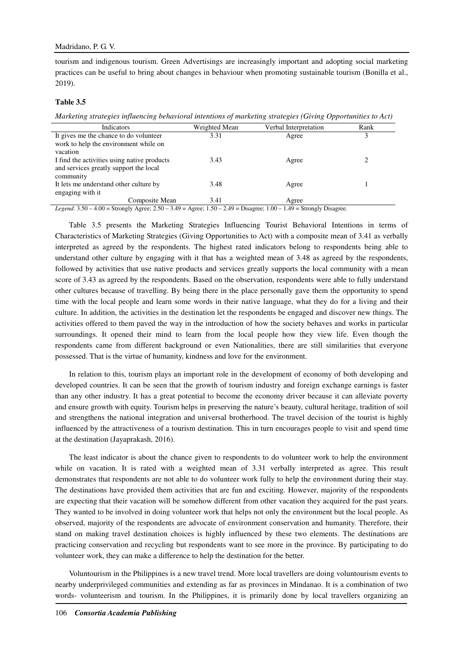tourism and indigenous tourism. Green Advertisings are increasingly important and adopting social marketing practices can be useful to bring about changes in behaviour when promoting sustainable tourism (Bonilla et al., 2019).

#### **Table 3.5**

*Marketing strategies influencing behavioral intentions of marketing strategies (Giving Opportunities to Act)* 

| Indicators                                  | Weighted Mean | Verbal Interpretation | Rank |
|---------------------------------------------|---------------|-----------------------|------|
| It gives me the chance to do volunteer      | 3.31          | Agree                 |      |
| work to help the environment while on       |               |                       |      |
| vacation                                    |               |                       |      |
| I find the activities using native products | 3.43          | Agree                 |      |
| and services greatly support the local      |               |                       |      |
| community                                   |               |                       |      |
| It lets me understand other culture by      | 3.48          | Agree                 |      |
| engaging with it                            |               |                       |      |
| Composite Mean                              | 3.41          | Agree                 |      |

*Legend*:  $3.50 - 4.00 =$  Strongly Agree;  $2.50 - 3.49 =$  Agree;  $1.50 - 2.49 =$  Disagree;  $1.00 - 1.49 =$  Strongly Disagree.

Table 3.5 presents the Marketing Strategies Influencing Tourist Behavioral Intentions in terms of Characteristics of Marketing Strategies (Giving Opportunities to Act) with a composite mean of 3.41 as verbally interpreted as agreed by the respondents. The highest rated indicators belong to respondents being able to understand other culture by engaging with it that has a weighted mean of 3.48 as agreed by the respondents, followed by activities that use native products and services greatly supports the local community with a mean score of 3.43 as agreed by the respondents. Based on the observation, respondents were able to fully understand other cultures because of travelling. By being there in the place personally gave them the opportunity to spend time with the local people and learn some words in their native language, what they do for a living and their culture. In addition, the activities in the destination let the respondents be engaged and discover new things. The activities offered to them paved the way in the introduction of how the society behaves and works in particular surroundings. It opened their mind to learn from the local people how they view life. Even though the respondents came from different background or even Nationalities, there are still similarities that everyone possessed. That is the virtue of humanity, kindness and love for the environment.

In relation to this, tourism plays an important role in the development of economy of both developing and developed countries. It can be seen that the growth of tourism industry and foreign exchange earnings is faster than any other industry. It has a great potential to become the economy driver because it can alleviate poverty and ensure growth with equity. Tourism helps in preserving the nature's beauty, cultural heritage, tradition of soil and strengthens the national integration and universal brotherhood. The travel decision of the tourist is highly influenced by the attractiveness of a tourism destination. This in turn encourages people to visit and spend time at the destination (Jayaprakash, 2016).

The least indicator is about the chance given to respondents to do volunteer work to help the environment while on vacation. It is rated with a weighted mean of 3.31 verbally interpreted as agree. This result demonstrates that respondents are not able to do volunteer work fully to help the environment during their stay. The destinations have provided them activities that are fun and exciting. However, majority of the respondents are expecting that their vacation will be somehow different from other vacation they acquired for the past years. They wanted to be involved in doing volunteer work that helps not only the environment but the local people. As observed, majority of the respondents are advocate of environment conservation and humanity. Therefore, their stand on making travel destination choices is highly influenced by these two elements. The destinations are practicing conservation and recycling but respondents want to see more in the province. By participating to do volunteer work, they can make a difference to help the destination for the better.

Voluntourism in the Philippines is a new travel trend. More local travellers are doing voluntourism events to nearby underprivileged communities and extending as far as provinces in Mindanao. It is a combination of two words- volunteerism and tourism. In the Philippines, it is primarily done by local travellers organizing an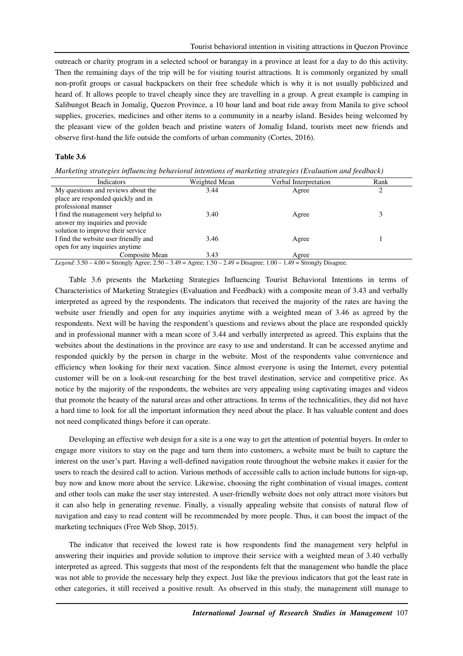outreach or charity program in a selected school or barangay in a province at least for a day to do this activity. Then the remaining days of the trip will be for visiting tourist attractions. It is commonly organized by small non-profit groups or casual backpackers on their free schedule which is why it is not usually publicized and heard of. It allows people to travel cheaply since they are travelling in a group. A great example is camping in Salibungot Beach in Jomalig, Quezon Province, a 10 hour land and boat ride away from Manila to give school supplies, groceries, medicines and other items to a community in a nearby island. Besides being welcomed by the pleasant view of the golden beach and pristine waters of Jomalig Island, tourists meet new friends and observe first-hand the life outside the comforts of urban community (Cortes, 2016).

#### **Table 3.6**

*Marketing strategies influencing behavioral intentions of marketing strategies (Evaluation and feedback)* 

| Indicators                                                                                                                                       | Weighted Mean | Verbal Interpretation | Rank |
|--------------------------------------------------------------------------------------------------------------------------------------------------|---------------|-----------------------|------|
| My questions and reviews about the                                                                                                               | 3.44          | Agree                 |      |
| place are responded quickly and in                                                                                                               |               |                       |      |
| professional manner                                                                                                                              |               |                       |      |
| I find the management very helpful to                                                                                                            | 3.40          | Agree                 |      |
| answer my inquiries and provide                                                                                                                  |               |                       |      |
| solution to improve their service                                                                                                                |               |                       |      |
| I find the website user friendly and                                                                                                             | 3.46          | Agree                 |      |
| open for any inquiries anytime                                                                                                                   |               |                       |      |
| Composite Mean                                                                                                                                   | 3.43          | Agree                 |      |
| $I_{0.000}$ $(1.250 - 4.00 -$ Strongly $\Lambda$ grov $(2.50 - 2.40 - \Lambda)$ grov $(1.50 - 2.40 -$ Disearce: 1.00 $(1.40 -$ Strongly Disearce |               |                       |      |

*Legend*: 3.50 – 4.00 = Strongly Agree; 2.50 – 3.49 = Agree; 1.50 – 2.49 = Disagree; 1.00 – 1.49 = Strongly Disagree.

Table 3.6 presents the Marketing Strategies Influencing Tourist Behavioral Intentions in terms of Characteristics of Marketing Strategies (Evaluation and Feedback) with a composite mean of 3.43 and verbally interpreted as agreed by the respondents. The indicators that received the majority of the rates are having the website user friendly and open for any inquiries anytime with a weighted mean of 3.46 as agreed by the respondents. Next will be having the respondent's questions and reviews about the place are responded quickly and in professional manner with a mean score of 3.44 and verbally interpreted as agreed. This explains that the websites about the destinations in the province are easy to use and understand. It can be accessed anytime and responded quickly by the person in charge in the website. Most of the respondents value convenience and efficiency when looking for their next vacation. Since almost everyone is using the Internet, every potential customer will be on a look-out researching for the best travel destination, service and competitive price. As notice by the majority of the respondents, the websites are very appealing using captivating images and videos that promote the beauty of the natural areas and other attractions. In terms of the technicalities, they did not have a hard time to look for all the important information they need about the place. It has valuable content and does not need complicated things before it can operate.

Developing an effective web design for a site is a one way to get the attention of potential buyers. In order to engage more visitors to stay on the page and turn them into customers, a website must be built to capture the interest on the user's part. Having a well-defined navigation route throughout the website makes it easier for the users to reach the desired call to action. Various methods of accessible calls to action include buttons for sign-up, buy now and know more about the service. Likewise, choosing the right combination of visual images, content and other tools can make the user stay interested. A user-friendly website does not only attract more visitors but it can also help in generating revenue. Finally, a visually appealing website that consists of natural flow of navigation and easy to read content will be recommended by more people. Thus, it can boost the impact of the marketing techniques (Free Web Shop, 2015).

The indicator that received the lowest rate is how respondents find the management very helpful in answering their inquiries and provide solution to improve their service with a weighted mean of 3.40 verbally interpreted as agreed. This suggests that most of the respondents felt that the management who handle the place was not able to provide the necessary help they expect. Just like the previous indicators that got the least rate in other categories, it still received a positive result. As observed in this study, the management still manage to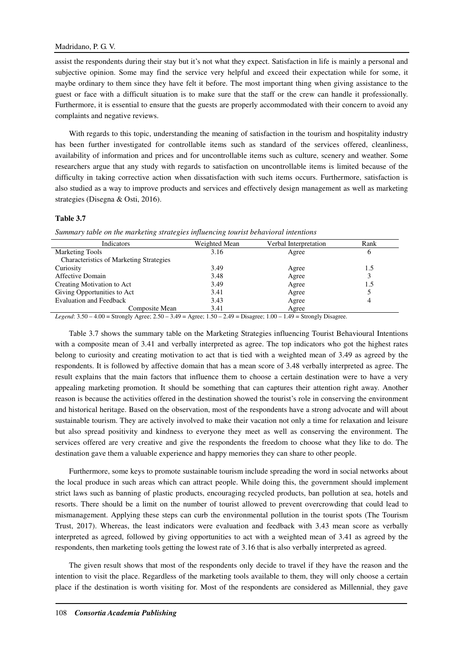## Madridano, P. G. V.

assist the respondents during their stay but it's not what they expect. Satisfaction in life is mainly a personal and subjective opinion. Some may find the service very helpful and exceed their expectation while for some, it maybe ordinary to them since they have felt it before. The most important thing when giving assistance to the guest or face with a difficult situation is to make sure that the staff or the crew can handle it professionally. Furthermore, it is essential to ensure that the guests are properly accommodated with their concern to avoid any complaints and negative reviews.

With regards to this topic, understanding the meaning of satisfaction in the tourism and hospitality industry has been further investigated for controllable items such as standard of the services offered, cleanliness, availability of information and prices and for uncontrollable items such as culture, scenery and weather. Some researchers argue that any study with regards to satisfaction on uncontrollable items is limited because of the difficulty in taking corrective action when dissatisfaction with such items occurs. Furthermore, satisfaction is also studied as a way to improve products and services and effectively design management as well as marketing strategies (Disegna & Osti, 2016).

## **Table 3.7**

|  | Summary table on the marketing strategies influencing tourist behavioral intentions |  |  |  |  |
|--|-------------------------------------------------------------------------------------|--|--|--|--|
|  |                                                                                     |  |  |  |  |

| Indicators                                     | Weighted Mean | Verbal Interpretation | Rank |
|------------------------------------------------|---------------|-----------------------|------|
| <b>Marketing Tools</b>                         | 3.16          | Agree                 | O    |
| <b>Characteristics of Marketing Strategies</b> |               |                       |      |
| Curiosity                                      | 3.49          | Agree                 | 1.5  |
| Affective Domain                               | 3.48          | Agree                 |      |
| Creating Motivation to Act                     | 3.49          | Agree                 | 1.5  |
| Giving Opportunities to Act                    | 3.41          | Agree                 |      |
| <b>Evaluation and Feedback</b>                 | 3.43          | Agree                 |      |
| Composite Mean                                 | 3.41          | Agree                 |      |

*Legend*: 3.50 – 4.00 = Strongly Agree; 2.50 – 3.49 = Agree; 1.50 – 2.49 = Disagree; 1.00 – 1.49 = Strongly Disagree.

Table 3.7 shows the summary table on the Marketing Strategies influencing Tourist Behavioural Intentions with a composite mean of 3.41 and verbally interpreted as agree. The top indicators who got the highest rates belong to curiosity and creating motivation to act that is tied with a weighted mean of 3.49 as agreed by the respondents. It is followed by affective domain that has a mean score of 3.48 verbally interpreted as agree. The result explains that the main factors that influence them to choose a certain destination were to have a very appealing marketing promotion. It should be something that can captures their attention right away. Another reason is because the activities offered in the destination showed the tourist's role in conserving the environment and historical heritage. Based on the observation, most of the respondents have a strong advocate and will about sustainable tourism. They are actively involved to make their vacation not only a time for relaxation and leisure but also spread positivity and kindness to everyone they meet as well as conserving the environment. The services offered are very creative and give the respondents the freedom to choose what they like to do. The destination gave them a valuable experience and happy memories they can share to other people.

Furthermore, some keys to promote sustainable tourism include spreading the word in social networks about the local produce in such areas which can attract people. While doing this, the government should implement strict laws such as banning of plastic products, encouraging recycled products, ban pollution at sea, hotels and resorts. There should be a limit on the number of tourist allowed to prevent overcrowding that could lead to mismanagement. Applying these steps can curb the environmental pollution in the tourist spots (The Tourism Trust, 2017). Whereas, the least indicators were evaluation and feedback with 3.43 mean score as verbally interpreted as agreed, followed by giving opportunities to act with a weighted mean of 3.41 as agreed by the respondents, then marketing tools getting the lowest rate of 3.16 that is also verbally interpreted as agreed.

The given result shows that most of the respondents only decide to travel if they have the reason and the intention to visit the place. Regardless of the marketing tools available to them, they will only choose a certain place if the destination is worth visiting for. Most of the respondents are considered as Millennial, they gave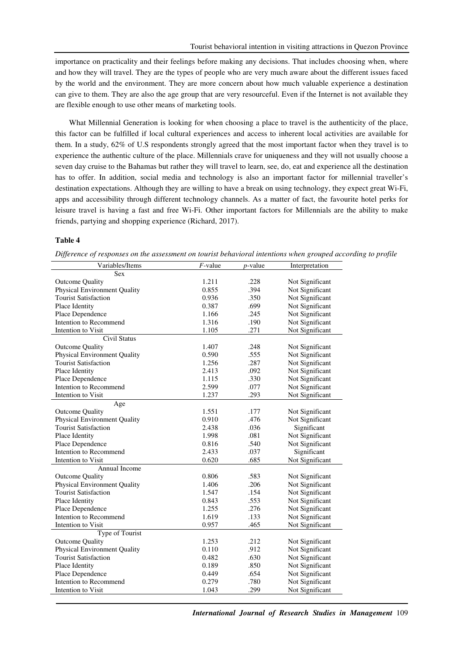importance on practicality and their feelings before making any decisions. That includes choosing when, where and how they will travel. They are the types of people who are very much aware about the different issues faced by the world and the environment. They are more concern about how much valuable experience a destination can give to them. They are also the age group that are very resourceful. Even if the Internet is not available they are flexible enough to use other means of marketing tools.

What Millennial Generation is looking for when choosing a place to travel is the authenticity of the place, this factor can be fulfilled if local cultural experiences and access to inherent local activities are available for them. In a study, 62% of U.S respondents strongly agreed that the most important factor when they travel is to experience the authentic culture of the place. Millennials crave for uniqueness and they will not usually choose a seven day cruise to the Bahamas but rather they will travel to learn, see, do, eat and experience all the destination has to offer. In addition, social media and technology is also an important factor for millennial traveller's destination expectations. Although they are willing to have a break on using technology, they expect great Wi-Fi, apps and accessibility through different technology channels. As a matter of fact, the favourite hotel perks for leisure travel is having a fast and free Wi-Fi. Other important factors for Millennials are the ability to make friends, partying and shopping experience (Richard, 2017).

#### **Table 4**

*Difference of responses on the assessment on tourist behavioral intentions when grouped according to profile* 

| Variables/Items                     | $F$ -value | $p$ -value | Interpretation  |
|-------------------------------------|------------|------------|-----------------|
| Sex                                 |            |            |                 |
| <b>Outcome Quality</b>              | 1.211      | .228       | Not Significant |
| <b>Physical Environment Quality</b> | 0.855      | .394       | Not Significant |
| <b>Tourist Satisfaction</b>         | 0.936      | .350       | Not Significant |
| Place Identity                      | 0.387      | .699       | Not Significant |
| Place Dependence                    | 1.166      | .245       | Not Significant |
| Intention to Recommend              | 1.316      | .190       | Not Significant |
| Intention to Visit                  | 1.105      | .271       | Not Significant |
| Civil Status                        |            |            |                 |
| <b>Outcome Quality</b>              | 1.407      | .248       | Not Significant |
| <b>Physical Environment Quality</b> | 0.590      | .555       | Not Significant |
| <b>Tourist Satisfaction</b>         | 1.256      | .287       | Not Significant |
| Place Identity                      | 2.413      | .092       | Not Significant |
| Place Dependence                    | 1.115      | .330       | Not Significant |
| Intention to Recommend              | 2.599      | .077       | Not Significant |
| Intention to Visit                  | 1.237      | .293       | Not Significant |
| Age                                 |            |            |                 |
| <b>Outcome Quality</b>              | 1.551      | .177       | Not Significant |
| <b>Physical Environment Quality</b> | 0.910      | .476       | Not Significant |
| <b>Tourist Satisfaction</b>         | 2.438      | .036       | Significant     |
| Place Identity                      | 1.998      | .081       | Not Significant |
| Place Dependence                    | 0.816      | .540       | Not Significant |
| Intention to Recommend              | 2.433      | .037       | Significant     |
| Intention to Visit                  | 0.620      | .685       | Not Significant |
| Annual Income                       |            |            |                 |
| <b>Outcome Quality</b>              | 0.806      | .583       | Not Significant |
| <b>Physical Environment Quality</b> | 1.406      | .206       | Not Significant |
| <b>Tourist Satisfaction</b>         | 1.547      | .154       | Not Significant |
| Place Identity                      | 0.843      | .553       | Not Significant |
| Place Dependence                    | 1.255      | .276       | Not Significant |
| Intention to Recommend              | 1.619      | .133       | Not Significant |
| Intention to Visit                  | 0.957      | .465       | Not Significant |
| Type of Tourist                     |            |            |                 |
| <b>Outcome Quality</b>              | 1.253      | .212       | Not Significant |
| <b>Physical Environment Quality</b> | 0.110      | .912       | Not Significant |
| <b>Tourist Satisfaction</b>         | 0.482      | .630       | Not Significant |
| Place Identity                      | 0.189      | .850       | Not Significant |
| Place Dependence                    | 0.449      | .654       | Not Significant |
| Intention to Recommend              | 0.279      | .780       | Not Significant |
| Intention to Visit                  | 1.043      | .299       | Not Significant |
|                                     |            |            |                 |

*International Journal of Research Studies in Management* 109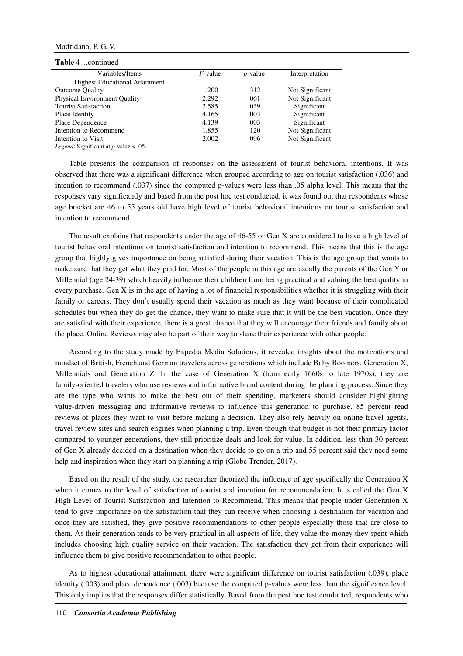#### Madridano, P. G. V.

## **Table 4** continued

| 100010 - 100011011100                 |                 |            |                 |
|---------------------------------------|-----------------|------------|-----------------|
| Variables/Items                       | <i>F</i> -value | $p$ -value | Interpretation  |
| <b>Highest Educational Attainment</b> |                 |            |                 |
| <b>Outcome Quality</b>                | 1.200           | .312       | Not Significant |
| <b>Physical Environment Quality</b>   | 2.292           | .061       | Not Significant |
| <b>Tourist Satisfaction</b>           | 2.585           | .039       | Significant     |
| Place Identity                        | 4.165           | .003       | Significant     |
| Place Dependence                      | 4.139           | .003       | Significant     |
| Intention to Recommend                | 1.855           | .120       | Not Significant |
| Intention to Visit                    | 2.002           | .096       | Not Significant |

*Legend*: Significant at *p*-value < .05.

Table presents the comparison of responses on the assessment of tourist behavioral intentions. It was observed that there was a significant difference when grouped according to age on tourist satisfaction (.036) and intention to recommend (.037) since the computed p-values were less than .05 alpha level. This means that the responses vary significantly and based from the post hoc test conducted, it was found out that respondents whose age bracket are 46 to 55 years old have high level of tourist behavioral intentions on tourist satisfaction and intention to recommend.

The result explains that respondents under the age of 46-55 or Gen X are considered to have a high level of tourist behavioral intentions on tourist satisfaction and intention to recommend. This means that this is the age group that highly gives importance on being satisfied during their vacation. This is the age group that wants to make sure that they get what they paid for. Most of the people in this age are usually the parents of the Gen Y or Millennial (age 24-39) which heavily influence their children from being practical and valuing the best quality in every purchase. Gen X is in the age of having a lot of financial responsibilities whether it is struggling with their family or careers. They don't usually spend their vacation as much as they want because of their complicated schedules but when they do get the chance, they want to make sure that it will be the best vacation. Once they are satisfied with their experience, there is a great chance that they will encourage their friends and family about the place. Online Reviews may also be part of their way to share their experience with other people.

According to the study made by Expedia Media Solutions, it revealed insights about the motivations and mindset of British, French and German travelers across generations which include Baby Boomers, Generation X, Millennials and Generation Z. In the case of Generation X (born early 1660s to late 1970s), they are family-oriented travelers who use reviews and informative brand content during the planning process. Since they are the type who wants to make the best out of their spending, marketers should consider highlighting value-driven messaging and informative reviews to influence this generation to purchase. 85 percent read reviews of places they want to visit before making a decision. They also rely heavily on online travel agents, travel review sites and search engines when planning a trip. Even though that budget is not their primary factor compared to younger generations, they still prioritize deals and look for value. In addition, less than 30 percent of Gen X already decided on a destination when they decide to go on a trip and 55 percent said they need some help and inspiration when they start on planning a trip (Globe Trender, 2017).

Based on the result of the study, the researcher theorized the influence of age specifically the Generation X when it comes to the level of satisfaction of tourist and intention for recommendation. It is called the Gen X High Level of Tourist Satisfaction and Intention to Recommend. This means that people under Generation X tend to give importance on the satisfaction that they can receive when choosing a destination for vacation and once they are satisfied, they give positive recommendations to other people especially those that are close to them. As their generation tends to be very practical in all aspects of life, they value the money they spent which includes choosing high quality service on their vacation. The satisfaction they get from their experience will influence them to give positive recommendation to other people.

As to highest educational attainment, there were significant difference on tourist satisfaction (.039), place identity (.003) and place dependence (.003) because the computed p-values were less than the significance level. This only implies that the responses differ statistically. Based from the post hoc test conducted, respondents who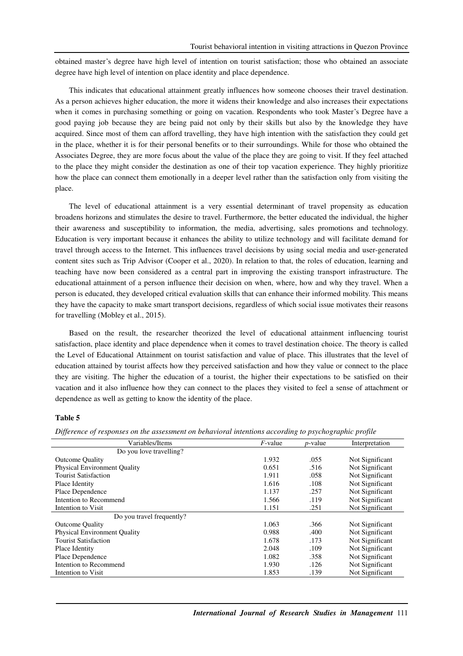obtained master's degree have high level of intention on tourist satisfaction; those who obtained an associate degree have high level of intention on place identity and place dependence.

This indicates that educational attainment greatly influences how someone chooses their travel destination. As a person achieves higher education, the more it widens their knowledge and also increases their expectations when it comes in purchasing something or going on vacation. Respondents who took Master's Degree have a good paying job because they are being paid not only by their skills but also by the knowledge they have acquired. Since most of them can afford travelling, they have high intention with the satisfaction they could get in the place, whether it is for their personal benefits or to their surroundings. While for those who obtained the Associates Degree, they are more focus about the value of the place they are going to visit. If they feel attached to the place they might consider the destination as one of their top vacation experience. They highly prioritize how the place can connect them emotionally in a deeper level rather than the satisfaction only from visiting the place.

The level of educational attainment is a very essential determinant of travel propensity as education broadens horizons and stimulates the desire to travel. Furthermore, the better educated the individual, the higher their awareness and susceptibility to information, the media, advertising, sales promotions and technology. Education is very important because it enhances the ability to utilize technology and will facilitate demand for travel through access to the Internet. This influences travel decisions by using social media and user-generated content sites such as Trip Advisor (Cooper et al., 2020). In relation to that, the roles of education, learning and teaching have now been considered as a central part in improving the existing transport infrastructure. The educational attainment of a person influence their decision on when, where, how and why they travel. When a person is educated, they developed critical evaluation skills that can enhance their informed mobility. This means they have the capacity to make smart transport decisions, regardless of which social issue motivates their reasons for travelling (Mobley et al., 2015).

Based on the result, the researcher theorized the level of educational attainment influencing tourist satisfaction, place identity and place dependence when it comes to travel destination choice. The theory is called the Level of Educational Attainment on tourist satisfaction and value of place. This illustrates that the level of education attained by tourist affects how they perceived satisfaction and how they value or connect to the place they are visiting. The higher the education of a tourist, the higher their expectations to be satisfied on their vacation and it also influence how they can connect to the places they visited to feel a sense of attachment or dependence as well as getting to know the identity of the place.

#### **Table 5**

*Difference of responses on the assessment on behavioral intentions according to psychographic profile* 

| Variables/Items                     | $F$ -value | <i>p</i> -value | Interpretation  |
|-------------------------------------|------------|-----------------|-----------------|
| Do you love travelling?             |            |                 |                 |
| <b>Outcome Quality</b>              | 1.932      | .055            | Not Significant |
| <b>Physical Environment Quality</b> | 0.651      | .516            | Not Significant |
| <b>Tourist Satisfaction</b>         | 1.911      | .058            | Not Significant |
| Place Identity                      | 1.616      | .108            | Not Significant |
| Place Dependence                    | 1.137      | .257            | Not Significant |
| Intention to Recommend              | 1.566      | .119            | Not Significant |
| Intention to Visit                  | 1.151      | .251            | Not Significant |
| Do you travel frequently?           |            |                 |                 |
| <b>Outcome Quality</b>              | 1.063      | .366            | Not Significant |
| <b>Physical Environment Quality</b> | 0.988      | .400            | Not Significant |
| <b>Tourist Satisfaction</b>         | 1.678      | .173            | Not Significant |
| Place Identity                      | 2.048      | .109            | Not Significant |
| Place Dependence                    | 1.082      | .358            | Not Significant |
| Intention to Recommend              | 1.930      | .126            | Not Significant |
| Intention to Visit                  | 1.853      | .139            | Not Significant |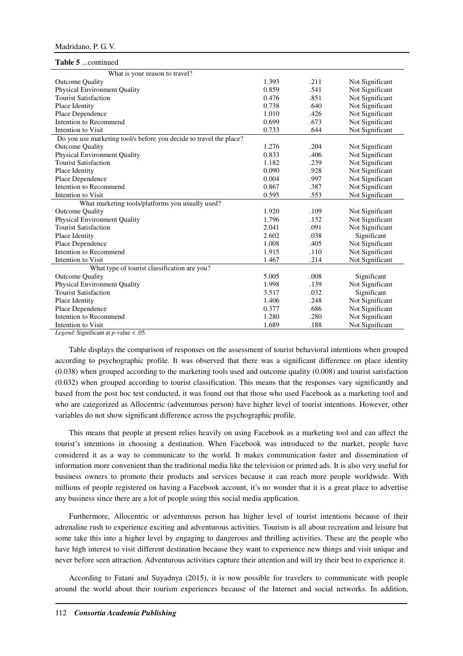| Table 5 continued                                                                |       |      |                 |
|----------------------------------------------------------------------------------|-------|------|-----------------|
| What is your reason to travel?                                                   |       |      |                 |
| <b>Outcome Quality</b>                                                           | 1.393 | .211 | Not Significant |
| Physical Environment Quality                                                     | 0.859 | .541 | Not Significant |
| <b>Tourist Satisfaction</b>                                                      | 0.476 | .851 | Not Significant |
| Place Identity                                                                   | 0.738 | .640 | Not Significant |
| Place Dependence                                                                 | 1.010 | .426 | Not Significant |
| Intention to Recommend                                                           | 0.699 | .673 | Not Significant |
| Intention to Visit                                                               | 0.733 | .644 | Not Significant |
| Do you use marketing tool/s before you decide to travel the place?               |       |      |                 |
| <b>Outcome Quality</b>                                                           | 1.276 | .204 | Not Significant |
| Physical Environment Quality                                                     | 0.833 | .406 | Not Significant |
| <b>Tourist Satisfaction</b>                                                      | 1.182 | .239 | Not Significant |
| Place Identity                                                                   | 0.090 | .928 | Not Significant |
| Place Dependence                                                                 | 0.004 | .997 | Not Significant |
| Intention to Recommend                                                           | 0.867 | .387 | Not Significant |
| Intention to Visit                                                               | 0.595 | .553 | Not Significant |
| What marketing tools/platforms you usually used?                                 |       |      |                 |
| <b>Outcome Quality</b>                                                           | 1.920 | .109 | Not Significant |
| Physical Environment Quality                                                     | 1.796 | .132 | Not Significant |
| <b>Tourist Satisfaction</b>                                                      | 2.041 | .091 | Not Significant |
| Place Identity                                                                   | 2.602 | .038 | Significant     |
| Place Dependence                                                                 | 1.008 | .405 | Not Significant |
| Intention to Recommend                                                           | 1.915 | .110 | Not Significant |
| Intention to Visit                                                               | 1.467 | .214 | Not Significant |
| What type of tourist classification are you?                                     |       |      |                 |
| <b>Outcome Quality</b>                                                           | 5.005 | .008 | Significant     |
| Physical Environment Quality                                                     | 1.998 | .139 | Not Significant |
| <b>Tourist Satisfaction</b>                                                      | 3.517 | .032 | Significant     |
| Place Identity                                                                   | 1.406 | .248 | Not Significant |
| Place Dependence                                                                 | 0.377 | .686 | Not Significant |
| Intention to Recommend                                                           | 1.280 | .280 | Not Significant |
| Intention to Visit<br>$\mathbf{r}$ $\alpha$ .<br>$\cdot$ $\sim$<br>$\sim$ $\sim$ | 1.689 | .188 | Not Significant |

*Legend*: Significant at *p*-value < .05.

Table displays the comparison of responses on the assessment of tourist behavioral intentions when grouped according to psychographic profile. It was observed that there was a significant difference on place identity (0.038) when grouped according to the marketing tools used and outcome quality (0.008) and tourist satisfaction (0.032) when grouped according to tourist classification. This means that the responses vary significantly and based from the post hoc test conducted, it was found out that those who used Facebook as a marketing tool and who are categorized as Allocentric (adventurous person) have higher level of tourist intentions. However, other variables do not show significant difference across the psychographic profile.

This means that people at present relies heavily on using Facebook as a marketing tool and can affect the tourist's intentions in choosing a destination. When Facebook was introduced to the market, people have considered it as a way to communicate to the world. It makes communication faster and dissemination of information more convenient than the traditional media like the television or printed ads. It is also very useful for business owners to promote their products and services because it can reach more people worldwide. With millions of people registered on having a Facebook account, it's no wonder that it is a great place to advertise any business since there are a lot of people using this social media application.

Furthermore, Allocentric or adventurous person has higher level of tourist intentions because of their adrenaline rush to experience exciting and adventurous activities. Tourism is all about recreation and leisure but some take this into a higher level by engaging to dangerous and thrilling activities. These are the people who have high interest to visit different destination because they want to experience new things and visit unique and never before seen attraction. Adventurous activities capture their attention and will try their best to experience it.

According to Fatani and Suyadnya (2015), it is now possible for travelers to communicate with people around the world about their tourism experiences because of the Internet and social networks. In addition,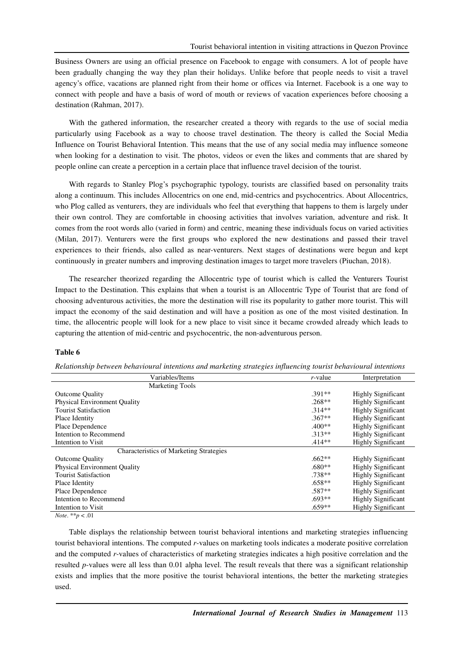Business Owners are using an official presence on Facebook to engage with consumers. A lot of people have been gradually changing the way they plan their holidays. Unlike before that people needs to visit a travel agency's office, vacations are planned right from their home or offices via Internet. Facebook is a one way to connect with people and have a basis of word of mouth or reviews of vacation experiences before choosing a destination (Rahman, 2017).

With the gathered information, the researcher created a theory with regards to the use of social media particularly using Facebook as a way to choose travel destination. The theory is called the Social Media Influence on Tourist Behavioral Intention. This means that the use of any social media may influence someone when looking for a destination to visit. The photos, videos or even the likes and comments that are shared by people online can create a perception in a certain place that influence travel decision of the tourist.

With regards to Stanley Plog's psychographic typology, tourists are classified based on personality traits along a continuum. This includes Allocentrics on one end, mid-centrics and psychocentrics. About Allocentrics, who Plog called as venturers, they are individuals who feel that everything that happens to them is largely under their own control. They are comfortable in choosing activities that involves variation, adventure and risk. It comes from the root words allo (varied in form) and centric, meaning these individuals focus on varied activities (Milan, 2017). Venturers were the first groups who explored the new destinations and passed their travel experiences to their friends, also called as near-venturers. Next stages of destinations were begun and kept continuously in greater numbers and improving destination images to target more travelers (Piuchan, 2018).

The researcher theorized regarding the Allocentric type of tourist which is called the Venturers Tourist Impact to the Destination. This explains that when a tourist is an Allocentric Type of Tourist that are fond of choosing adventurous activities, the more the destination will rise its popularity to gather more tourist. This will impact the economy of the said destination and will have a position as one of the most visited destination. In time, the allocentric people will look for a new place to visit since it became crowded already which leads to capturing the attention of mid-centric and psychocentric, the non-adventurous person.

## **Table 6**

| Variables/Items                                | $r$ -value | Interpretation            |
|------------------------------------------------|------------|---------------------------|
| <b>Marketing Tools</b>                         |            |                           |
| <b>Outcome Quality</b>                         | $.391**$   | <b>Highly Significant</b> |
| <b>Physical Environment Quality</b>            | $.268**$   | <b>Highly Significant</b> |
| <b>Tourist Satisfaction</b>                    | $.314**$   | <b>Highly Significant</b> |
| Place Identity                                 | $.367**$   | <b>Highly Significant</b> |
| Place Dependence                               | $.400**$   | <b>Highly Significant</b> |
| Intention to Recommend                         | $.313**$   | <b>Highly Significant</b> |
| Intention to Visit                             | $.414**$   | <b>Highly Significant</b> |
| <b>Characteristics of Marketing Strategies</b> |            |                           |
| <b>Outcome Quality</b>                         | $.662**$   | <b>Highly Significant</b> |
| <b>Physical Environment Quality</b>            | $.680**$   | <b>Highly Significant</b> |
| <b>Tourist Satisfaction</b>                    | $.738**$   | <b>Highly Significant</b> |
| Place Identity                                 | $.658**$   | <b>Highly Significant</b> |
| Place Dependence                               | $.587**$   | <b>Highly Significant</b> |
| Intention to Recommend                         | $.693**$   | <b>Highly Significant</b> |
| Intention to Visit                             | $.659**$   | <b>Highly Significant</b> |

*Relationship between behavioural intentions and marketing strategies influencing tourist behavioural intentions* 

*Note*. \*\**p* < .01

Table displays the relationship between tourist behavioral intentions and marketing strategies influencing tourist behavioral intentions. The computed *r*-values on marketing tools indicates a moderate positive correlation and the computed *r*-values of characteristics of marketing strategies indicates a high positive correlation and the resulted *p*-values were all less than 0.01 alpha level. The result reveals that there was a significant relationship exists and implies that the more positive the tourist behavioral intentions, the better the marketing strategies used.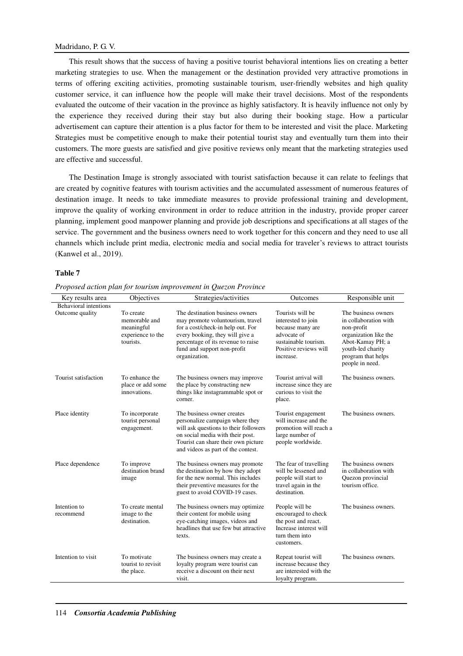This result shows that the success of having a positive tourist behavioral intentions lies on creating a better marketing strategies to use. When the management or the destination provided very attractive promotions in terms of offering exciting activities, promoting sustainable tourism, user-friendly websites and high quality customer service, it can influence how the people will make their travel decisions. Most of the respondents evaluated the outcome of their vacation in the province as highly satisfactory. It is heavily influence not only by the experience they received during their stay but also during their booking stage. How a particular advertisement can capture their attention is a plus factor for them to be interested and visit the place. Marketing Strategies must be competitive enough to make their potential tourist stay and eventually turn them into their customers. The more guests are satisfied and give positive reviews only meant that the marketing strategies used are effective and successful.

The Destination Image is strongly associated with tourist satisfaction because it can relate to feelings that are created by cognitive features with tourism activities and the accumulated assessment of numerous features of destination image. It needs to take immediate measures to provide professional training and development, improve the quality of working environment in order to reduce attrition in the industry, provide proper career planning, implement good manpower planning and provide job descriptions and specifications at all stages of the service. The government and the business owners need to work together for this concern and they need to use all channels which include print media, electronic media and social media for traveler's reviews to attract tourists (Kanwel et al., 2019).

#### **Table 7**

*Proposed action plan for tourism improvement in Quezon Province* 

| Key results area             | Objectives                                                                 | Strategies/activities                                                                                                                                                                                                             | Outcomes                                                                                                                                | Responsible unit                                                                                                                                                      |
|------------------------------|----------------------------------------------------------------------------|-----------------------------------------------------------------------------------------------------------------------------------------------------------------------------------------------------------------------------------|-----------------------------------------------------------------------------------------------------------------------------------------|-----------------------------------------------------------------------------------------------------------------------------------------------------------------------|
| <b>Behavioral</b> intentions |                                                                            |                                                                                                                                                                                                                                   |                                                                                                                                         |                                                                                                                                                                       |
| Outcome quality              | To create<br>memorable and<br>meaningful<br>experience to the<br>tourists. | The destination business owners<br>may promote voluntourism, travel<br>for a cost/check-in help out. For<br>every booking, they will give a<br>percentage of its revenue to raise<br>fund and support non-profit<br>organization. | Tourists will be<br>interested to join<br>because many are<br>advocate of<br>sustainable tourism.<br>Positive reviews will<br>increase. | The business owners<br>in collaboration with<br>non-profit<br>organization like the<br>Abot-Kamay PH; a<br>youth-led charity<br>program that helps<br>people in need. |
| Tourist satisfaction         | To enhance the<br>place or add some<br>innovations.                        | The business owners may improve<br>the place by constructing new<br>things like instagrammable spot or<br>corner.                                                                                                                 | Tourist arrival will<br>increase since they are<br>curious to visit the<br>place.                                                       | The business owners.                                                                                                                                                  |
| Place identity               | To incorporate<br>tourist personal<br>engagement.                          | The business owner creates<br>personalize campaign where they<br>will ask questions to their followers<br>on social media with their post.<br>Tourist can share their own picture<br>and videos as part of the contest.           | Tourist engagement<br>will increase and the<br>promotion will reach a<br>large number of<br>people worldwide.                           | The business owners.                                                                                                                                                  |
| Place dependence             | To improve<br>destination brand<br>image                                   | The business owners may promote<br>the destination by how they adopt<br>for the new normal. This includes<br>their preventive measures for the<br>guest to avoid COVID-19 cases.                                                  | The fear of travelling<br>will be lessened and<br>people will start to<br>travel again in the<br>destination.                           | The business owners<br>in collaboration with<br>Quezon provincial<br>tourism office.                                                                                  |
| Intention to<br>recommend    | To create mental<br>image to the<br>destination.                           | The business owners may optimize<br>their content for mobile using<br>eye-catching images, videos and<br>headlines that use few but attractive<br>texts.                                                                          | People will be<br>encouraged to check<br>the post and react.<br>Increase interest will<br>turn them into<br>customers.                  | The business owners.                                                                                                                                                  |
| Intention to visit           | To motivate<br>tourist to revisit<br>the place.                            | The business owners may create a<br>loyalty program were tourist can<br>receive a discount on their next<br>visit.                                                                                                                | Repeat tourist will<br>increase because they<br>are interested with the<br>loyalty program.                                             | The business owners.                                                                                                                                                  |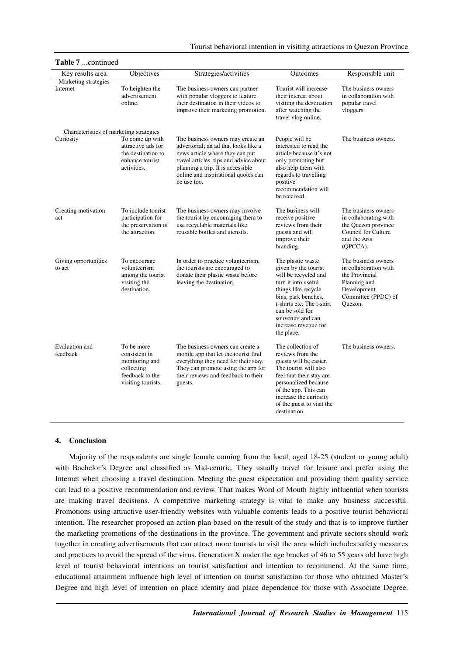| Table 7 continued                |                                                                                                      |                                                                                                                                                                                                                                                   |                                                                                                                                                                                                                                                   |                                                                                                                                 |  |  |  |
|----------------------------------|------------------------------------------------------------------------------------------------------|---------------------------------------------------------------------------------------------------------------------------------------------------------------------------------------------------------------------------------------------------|---------------------------------------------------------------------------------------------------------------------------------------------------------------------------------------------------------------------------------------------------|---------------------------------------------------------------------------------------------------------------------------------|--|--|--|
| Key results area                 | Objectives                                                                                           | Strategies/activities                                                                                                                                                                                                                             | Outcomes                                                                                                                                                                                                                                          | Responsible unit                                                                                                                |  |  |  |
| Marketing strategies<br>Internet | To heighten the<br>advertisement<br>online.                                                          | The business owners can partner<br>with popular vloggers to feature<br>their destination in their videos to<br>improve their marketing promotion.                                                                                                 | Tourist will increase<br>their interest about<br>visiting the destination<br>after watching the<br>travel vlog online.                                                                                                                            | The business owners<br>in collaboration with<br>popular travel<br>vloggers.                                                     |  |  |  |
|                                  | Characteristics of marketing strategies                                                              |                                                                                                                                                                                                                                                   |                                                                                                                                                                                                                                                   |                                                                                                                                 |  |  |  |
| Curiosity                        | To come up with<br>attractive ads for<br>the destination to<br>enhance tourist<br>activities.        | The business owners may create an<br>advertorial: an ad that looks like a<br>news article where they can put<br>travel articles, tips and advice about<br>planning a trip. It is accessible<br>online and inspirational quotes can<br>be use too. | People will be<br>interested to read the<br>article because it's not<br>only promoting but<br>also help them with<br>regards to travelling<br>positive<br>recommendation will<br>be received.                                                     | The business owners.                                                                                                            |  |  |  |
| Creating motivation<br>act       | To include tourist<br>participation for<br>the preservation of<br>the attraction.                    | The business owners may involve<br>the tourist by encouraging them to<br>use recyclable materials like<br>reusable bottles and utensils.                                                                                                          | The business will<br>receive positive<br>reviews from their<br>guests and will<br>improve their<br>branding.                                                                                                                                      | The business owners<br>in collaborating with<br>the Quezon province<br>Council for Culture<br>and the Arts<br>(QPCCA).          |  |  |  |
| Giving opportunities<br>to act   | To encourage<br>volunteerism<br>among the tourist<br>visiting the<br>destination.                    | In order to practice volunteerism,<br>the tourists are encouraged to<br>donate their plastic waste before<br>leaving the destination.                                                                                                             | The plastic waste<br>given by the tourist<br>will be recycled and<br>turn it into useful<br>things like recycle<br>bins, park benches,<br>t-shirts etc. The t-shirt<br>can be sold for<br>souvenirs and can<br>increase revenue for<br>the place. | The business owners<br>in collaboration with<br>the Provincial<br>Planning and<br>Development<br>Committee (PPDC) of<br>Quezon. |  |  |  |
| Evaluation and<br>feedback       | To be more<br>consistent in<br>monitoring and<br>collecting<br>feedback to the<br>visiting tourists. | The business owners can create a<br>mobile app that let the tourist find<br>everything they need for their stay.<br>They can promote using the app for<br>their reviews and feedback to their<br>guests.                                          | The collection of<br>reviews from the<br>guests will be easier.<br>The tourist will also<br>feel that their stay are<br>personalized because<br>of the app. This can<br>increase the curiosity<br>of the guest to visit the<br>destination.       | The business owners.                                                                                                            |  |  |  |

## Tourist behavioral intention in visiting attractions in Quezon Province

#### **4. Conclusion**

Majority of the respondents are single female coming from the local, aged 18-25 (student or young adult) with Bachelor's Degree and classified as Mid-centric. They usually travel for leisure and prefer using the Internet when choosing a travel destination. Meeting the guest expectation and providing them quality service can lead to a positive recommendation and review. That makes Word of Mouth highly influential when tourists are making travel decisions. A competitive marketing strategy is vital to make any business successful. Promotions using attractive user-friendly websites with valuable contents leads to a positive tourist behavioral intention. The researcher proposed an action plan based on the result of the study and that is to improve further the marketing promotions of the destinations in the province. The government and private sectors should work together in creating advertisements that can attract more tourists to visit the area which includes safety measures and practices to avoid the spread of the virus. Generation X under the age bracket of 46 to 55 years old have high level of tourist behavioral intentions on tourist satisfaction and intention to recommend. At the same time, educational attainment influence high level of intention on tourist satisfaction for those who obtained Master's Degree and high level of intention on place identity and place dependence for those with Associate Degree.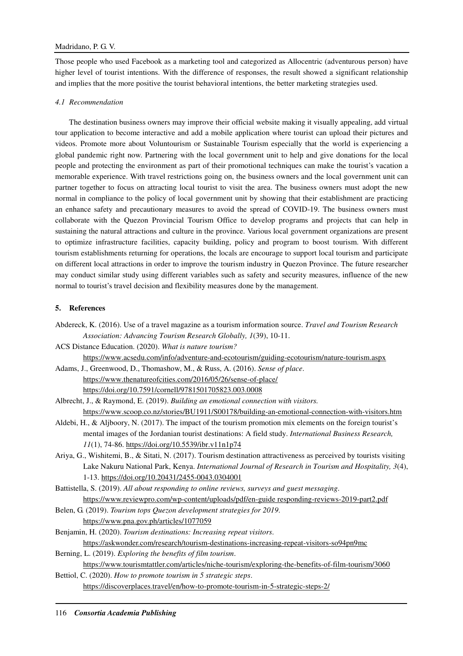Those people who used Facebook as a marketing tool and categorized as Allocentric (adventurous person) have higher level of tourist intentions. With the difference of responses, the result showed a significant relationship and implies that the more positive the tourist behavioral intentions, the better marketing strategies used.

## *4.1 Recommendation*

The destination business owners may improve their official website making it visually appealing, add virtual tour application to become interactive and add a mobile application where tourist can upload their pictures and videos. Promote more about Voluntourism or Sustainable Tourism especially that the world is experiencing a global pandemic right now. Partnering with the local government unit to help and give donations for the local people and protecting the environment as part of their promotional techniques can make the tourist's vacation a memorable experience. With travel restrictions going on, the business owners and the local government unit can partner together to focus on attracting local tourist to visit the area. The business owners must adopt the new normal in compliance to the policy of local government unit by showing that their establishment are practicing an enhance safety and precautionary measures to avoid the spread of COVID-19. The business owners must collaborate with the Quezon Provincial Tourism Office to develop programs and projects that can help in sustaining the natural attractions and culture in the province. Various local government organizations are present to optimize infrastructure facilities, capacity building, policy and program to boost tourism. With different tourism establishments returning for operations, the locals are encourage to support local tourism and participate on different local attractions in order to improve the tourism industry in Quezon Province. The future researcher may conduct similar study using different variables such as safety and security measures, influence of the new normal to tourist's travel decision and flexibility measures done by the management.

## **5. References**

- Abdereck, K. (2016). Use of a travel magazine as a tourism information source. *Travel and Tourism Research Association: Advancing Tourism Research Globally, 1*(39), 10-11.
- ACS Distance Education. (2020). *What is nature tourism?*

https://www.acsedu.com/info/adventure-and-ecotourism/guiding-ecotourism/nature-tourism.aspx

Adams, J., Greenwood, D., Thomashow, M., & Russ, A. (2016). *Sense of place*. https://www.thenatureofcities.com/2016/05/26/sense-of-place/ https://doi.org/10.7591/cornell/9781501705823.003.0008

Albrecht, J., & Raymond, E. (2019). *Building an emotional connection with visitors.*

https://www.scoop.co.nz/stories/BU1911/S00178/building-an-emotional-connection-with-visitors.htm

- Aldebi, H., & Aljboory, N. (2017). The impact of the tourism promotion mix elements on the foreign tourist's mental images of the Jordanian tourist destinations: A field study. *International Business Research, 11*(1), 74-86. https://doi.org/10.5539/ibr.v11n1p74
- Ariya, G., Wishitemi, B., & Sitati, N. (2017). Tourism destination attractiveness as perceived by tourists visiting Lake Nakuru National Park, Kenya. *International Journal of Research in Tourism and Hospitality, 3*(4), 1-13. https://doi.org/10.20431/2455-0043.0304001

Battistella, S. (2019). *All about responding to online reviews, surveys and guest messaging*. https://www.reviewpro.com/wp-content/uploads/pdf/en-guide responding-reviews-2019-part2.pdf

- Belen, G. (2019). *Tourism tops Quezon development strategies for 2019*. https://www.pna.gov.ph/articles/1077059
- Benjamin, H. (2020). *Tourism destinations: Increasing repeat visitors*. https://askwonder.com/research/tourism-destinations-increasing-repeat-visitors-so94pn9mc
- Berning, L. (2019). *Exploring the benefits of film tourism*. https://www.tourismtattler.com/articles/niche-tourism/exploring-the-benefits-of-film-tourism/3060
- Bettiol, C. (2020). *How to promote tourism in 5 strategic steps*. https://discoverplaces.travel/en/how-to-promote-tourism-in-5-strategic-steps-2/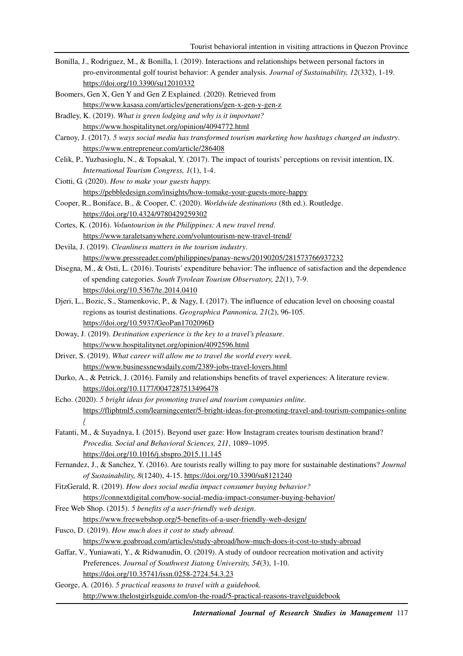- Bonilla, J., Rodriguez, M., & Bonilla, l. (2019). Interactions and relationships between personal factors in pro-environmental golf tourist behavior: A gender analysis. *Journal of Sustainability, 12*(332), 1-19. https://doi.org/10.3390/su12010332
- Boomers, Gen X, Gen Y and Gen Z Explained. (2020). Retrieved from https://www.kasasa.com/articles/generations/gen-x-gen-y-gen-z
- Bradley, K. (2019). *What is green lodging and why is it important?* https://www.hospitalitynet.org/opinion/4094772.html
- Carnoy, J. (2017). *5 ways social media has transformed tourism marketing how hashtags changed an industry*. https://www.entrepreneur.com/article/286408
- Celik, P., Yuzbasioglu, N., & Topsakal, Y. (2017). The impact of tourists' perceptions on revisit intention, IX. *International Tourism Congress, 1*(1), 1-4.
- Ciotti, G. (2020). *How to make your guests happy.* https://pebbledesign.com/insights/how-tomake-your-guests-more-happy
- Cooper, R., Boniface, B., & Cooper, C. (2020). *Worldwide destinations* (8th ed.). Routledge. https://doi.org/10.4324/9780429259302
- Cortes, K. (2016). *Voluntourism in the Philippines: A new travel trend*. https://www.taraletsanywhere.com/voluntourism-new-travel-trend/
- Devila, J. (2019). *Cleanliness matters in the tourism industry*. https://www.pressreader.com/philippines/panay-news/20190205/281573766937232
- Disegna, M., & Osti, L. (2016). Tourists' expenditure behavior: The influence of satisfaction and the dependence of spending categories. *South Tyrolean Tourism Observatory, 22*(1), 7-9. https://doi.org/10.5367/te.2014.0410
- Djeri, L., Bozic, S., Stamenkovic, P., & Nagy, I. (2017). The influence of education level on choosing coastal regions as tourist destinations. *Geographica Pannonica, 21*(2), 96-105. https://doi.org/10.5937/GeoPan1702096D
- Doway, J. (2019). *Destination experience is the key to a travel's pleasure*. https://www.hospitalitynet.org/opinion/4092596.html
- Driver, S. (2019). *What career will allow me to travel the world every week*. https://www.businessnewsdaily.com/2389-jobs-travel-lovers.html
- Durko, A., & Petrick, J. (2016). Family and relationships benefits of travel experiences: A literature review. https://doi.org/10.1177/0047287513496478
- Echo. (2020). *5 bright ideas for promoting travel and tourism companies online*. https://fliphtml5.com/learningcenter/5-bright-ideas-for-promoting-travel-and-tourism-companies-online /
- Fatanti, M., & Suyadnya, I. (2015). Beyond user gaze: How Instagram creates tourism destination brand? *Procedia. Social and Behavioral Sciences, 211*, 1089–1095. https://doi.org/10.1016/j.sbspro.2015.11.145
- Fernandez, J., & Sanchez, Y. (2016). Are tourists really willing to pay more for sustainable destinations? *Journal of Sustainability, 8*(1240), 4-15. https://doi.org/10.3390/su8121240
- FitzGerald, R. (2019). *How does social media impact consumer buying behavior?* https://connextdigital.com/how-social-media-impact-consumer-buying-behavior/
- Free Web Shop. (2015). *5 benefits of a user-friendly web design*. https://www.freewebshop.org/5-benefits-of-a-user-friendly-web-design/
- Fusco, D. (2019). *How much does it cost to study abroad*. https://www.goabroad.com/articles/study-abroad/how-much-does-it-cost-to-study-abroad
- Gaffar, V., Yuniawati, Y., & Ridwanudin, O. (2019). A study of outdoor recreation motivation and activity Preferences. *Journal of Southwest Jiatong University, 54*(3), 1-10. https://doi.org/10.35741/issn.0258-2724.54.3.23
- George, A. (2016). *5 practical reasons to travel with a guidebook.* http://www.thelostgirlsguide.com/on-the-road/5-practical-reasons-travelguidebook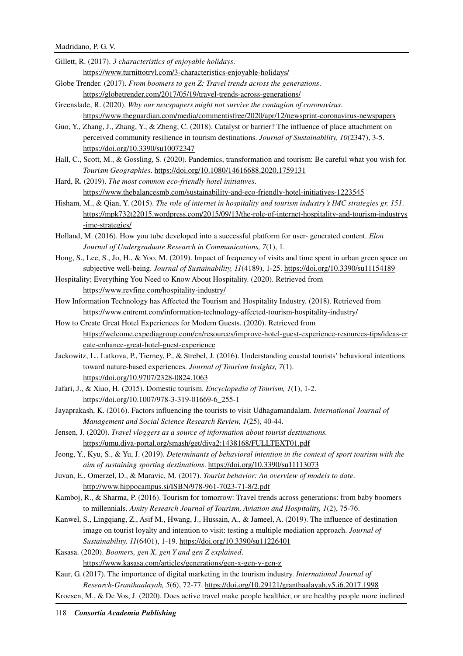Gillett, R. (2017). *3 characteristics of enjoyable holidays*.

- https://www.turnittotrvl.com/3-characteristics-enjoyable-holidays/
- Globe Trender. (2017). *From boomers to gen Z: Travel trends across the generations*. https://globetrender.com/2017/05/19/travel-trends-across-generations/
- Greenslade, R. (2020). *Why our newspapers might not survive the contagion of coronavirus*. https://www.theguardian.com/media/commentisfree/2020/apr/12/newsprint-coronavirus-newspapers
- Guo, Y., Zhang, J., Zhang, Y., & Zheng, C. (2018). Catalyst or barrier? The influence of place attachment on perceived community resilience in tourism destinations. *Journal of Sustainability, 10*(2347), 3-5. https://doi.org/10.3390/su10072347
- Hall, C., Scott, M., & Gossling, S. (2020). Pandemics, transformation and tourism: Be careful what you wish for. *Tourism Geographies*. https://doi.org/10.1080/14616688.2020.1759131
- Hard, R. (2019). *The most common eco-friendly hotel initiatives*. https://www.thebalancesmb.com/sustainability-and-eco-friendly-hotel-initiatives-1223545
- Hisham, M., & Qian, Y. (2015). *The role of internet in hospitality and tourism industry's IMC strategies gr. 151*. https://mpk732t22015.wordpress.com/2015/09/13/the-role-of-internet-hospitality-and-tourism-industrys -imc-strategies/
- Holland, M. (2016). How you tube developed into a successful platform for user- generated content. *Elon Journal of Undergraduate Research in Communications, 7*(1), 1.
- Hong, S., Lee, S., Jo, H., & Yoo, M. (2019). Impact of frequency of visits and time spent in urban green space on subjective well-being. *Journal of Sustainability, 11*(4189), 1-25. https://doi.org/10.3390/su11154189
- Hospitality; Everything You Need to Know About Hospitality. (2020). Retrieved from https://www.revfine.com/hospitality-industry/
- How Information Technology has Affected the Tourism and Hospitality Industry. (2018). Retrieved from https://www.entremt.com/information-technology-affected-tourism-hospitality-industry/
- How to Create Great Hotel Experiences for Modern Guests. (2020). Retrieved from https://welcome.expediagroup.com/en/resources/improve-hotel-guest-experience-resources-tips/ideas-cr eate-enhance-great-hotel-guest-experience
- Jackowitz, L., Latkova, P., Tierney, P., & Strebel, J. (2016). Understanding coastal tourists' behavioral intentions toward nature-based experiences. *Journal of Tourism Insights, 7*(1). https://doi.org/10.9707/2328-0824.1063
- Jafari, J., & Xiao, H. (2015). Domestic tourism. *Encyclopedia of Tourism, 1*(1), 1-2. https://doi.org/10.1007/978-3-319-01669-6\_255-1
- Jayaprakash, K. (2016). Factors influencing the tourists to visit Udhagamandalam. *International Journal of Management and Social Science Research Review, 1*(25), 40-44.
- Jensen, J. (2020). *Travel vloggers as a source of information about tourist destinations.* https://umu.diva-portal.org/smash/get/diva2:1438168/FULLTEXT01.pdf
- Jeong, Y., Kyu, S., & Yu, J. (2019). *Determinants of behavioral intention in the context of sport tourism with the aim of sustaining sporting destinations*. https://doi.org/10.3390/su11113073
- Juvan, E., Omerzel, D., & Maravic, M. (2017). *Tourist behavior: An overview of models to date*. http://www.hippocampus.si/ISBN/978-961-7023-71-8/2.pdf
- Kamboj, R., & Sharma, P. (2016). Tourism for tomorrow: Travel trends across generations: from baby boomers to millennials. *Amity Research Journal of Tourism, Aviation and Hospitality, 1*(2), 75-76.
- Kanwel, S., Lingqiang, Z., Asif M., Hwang, J., Hussain, A., & Jameel, A. (2019). The influence of destination image on tourist loyalty and intention to visit: testing a multiple mediation approach. *Journal of Sustainability, 11*(6401), 1-19. https://doi.org/10.3390/su11226401

Kasasa. (2020). *Boomers, gen X, gen Y and gen Z explained*. https://www.kasasa.com/articles/generations/gen-x-gen-y-gen-z

- Kaur, G. (2017). The importance of digital marketing in the tourism industry. *International Journal of Research-Granthaalayah, 5*(6), 72-77. https://doi.org/10.29121/granthaalayah.v5.i6.2017.1998
- Kroesen, M., & De Vos, J. (2020). Does active travel make people healthier, or are healthy people more inclined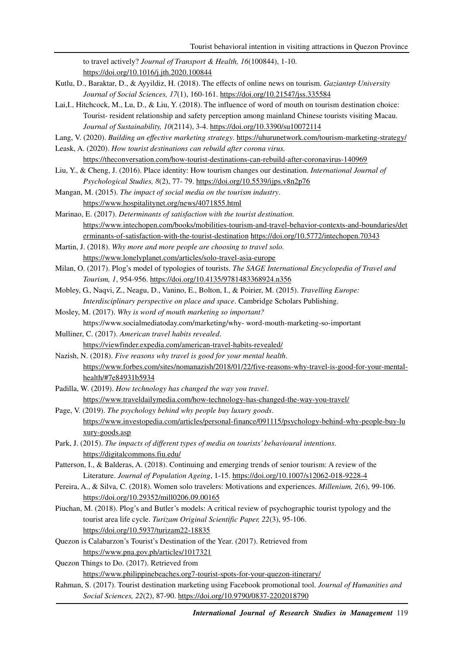to travel actively? *Journal of Transport & Health, 16*(100844), 1-10. https://doi.org/10.1016/j.jth.2020.100844

- Kutlu, D., Baraktar, D., & Ayyildiz, H. (2018). The effects of online news on tourism. *Gaziantep University Journal of Social Sciences, 17*(1), 160-161. https://doi.org/10.21547/jss.335584
- Lai,I., Hitchcock, M., Lu, D., & Liu, Y. (2018). The influence of word of mouth on tourism destination choice: Tourist- resident relationship and safety perception among mainland Chinese tourists visiting Macau. *Journal of Sustainability, 10*(2114), 3-4. https://doi.org/10.3390/su10072114
- Lang, V. (2020). *Building an effective marketing strategy*. https://uhurunetwork.com/tourism-marketing-strategy/

Leask, A. (2020). *How tourist destinations can rebuild after corona virus.* 

https://theconversation.com/how-tourist-destinations-can-rebuild-after-coronavirus-140969

Liu, Y., & Cheng, J. (2016). Place identity: How tourism changes our destination. *International Journal of Psychological Studies, 8*(2), 77- 79. https://doi.org/10.5539/ijps.v8n2p76

Mangan, M. (2015). *The impact of social media on the tourism industry*. https://www.hospitalitynet.org/news/4071855.html

Marinao, E. (2017). *Determinants of satisfaction with the tourist destination.* https://www.intechopen.com/books/mobilities-tourism-and-travel-behavior-contexts-and-boundaries/det erminants-of-satisfaction-with-the-tourist-destination https://doi.org/10.5772/intechopen.70343

Martin, J. (2018). *Why more and more people are choosing to travel solo.* https://www.lonelyplanet.com/articles/solo-travel-asia-europe

- Milan, O. (2017). Plog's model of typologies of tourists. *The SAGE International Encyclopedia of Travel and Tourism, 1*, 954-956. https://doi.org/10.4135/9781483368924.n356
- Mobley, G., Naqvi, Z., Neagu, D., Vanino, E., Bolton, I., & Poirier, M. (2015). *Travelling Europe: Interdisciplinary perspective on place and space*. Cambridge Scholars Publishing.

Mosley, M. (2017). *Why is word of mouth marketing so important?* https://www.socialmediatoday.com/marketing/why- word-mouth-marketing-so-important

- Mulliner, C. (2017). *American travel habits revealed*. https://viewfinder.expedia.com/american-travel-habits-revealed/
- Nazish, N. (2018). *Five reasons why travel is good for your mental health*. https://www.forbes.com/sites/nomanazish/2018/01/22/five-reasons-why-travel-is-good-for-your-mentalhealth/#7e84931b5934
- Padilla, W. (2019). *How technology has changed the way you travel*. https://www.traveldailymedia.com/how-technology-has-changed-the-way-you-travel/

Page, V. (2019). *The psychology behind why people buy luxury goods*. https://www.investopedia.com/articles/personal-finance/091115/psychology-behind-why-people-buy-lu xury-goods.asp

Park, J. (2015). *The impacts of different types of media on tourists' behavioural intentions*. https://digitalcommons.fiu.edu/

- Patterson, I., & Balderas, A. (2018). Continuing and emerging trends of senior tourism: A review of the Literature. *Journal of Population Ageing*, 1-15. https://doi.org/10.1007/s12062-018-9228-4
- Pereira, A., & Silva, C. (2018). Women solo travelers: Motivations and experiences. *Millenium, 2*(6), 99-106. https://doi.org/10.29352/mill0206.09.00165
- Piuchan, M. (2018). Plog's and Butler's models: A critical review of psychographic tourist typology and the tourist area life cycle. *Turizam Original Scientific Paper, 22*(3), 95-106. https://doi.org/10.5937/turizam22-18835
- Quezon is Calabarzon's Tourist's Destination of the Year. (2017). Retrieved from https://www.pna.gov.ph/articles/1017321
- Quezon Things to Do. (2017). Retrieved from https://www.philippinebeaches.org7-tourist-spots-for-your-quezon-itinerary/
- Rahman, S. (2017). Tourist destination marketing using Facebook promotional tool. *Journal of Humanities and Social Sciences, 22*(2), 87-90. https://doi.org/10.9790/0837-2202018790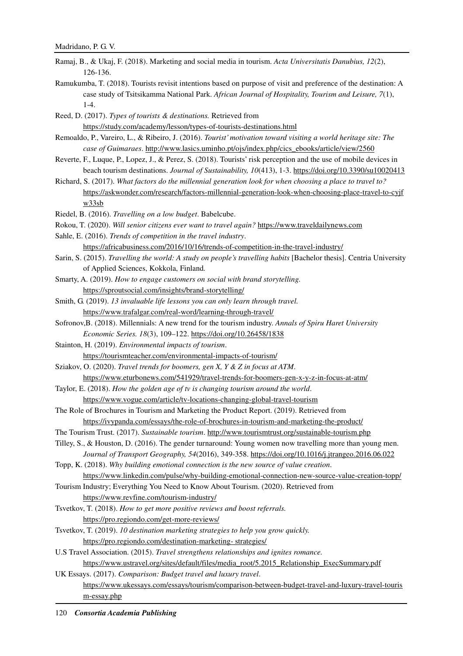- Ramaj, B., & Ukaj, F. (2018). Marketing and social media in tourism. *Acta Universitatis Danubius, 12*(2), 126-136.
- Ramukumba, T. (2018). Tourists revisit intentions based on purpose of visit and preference of the destination: A case study of Tsitsikamma National Park. *African Journal of Hospitality, Tourism and Leisure, 7*(1),  $1 - 4$ .
- Reed, D. (2017). *Types of tourists & destinations.* Retrieved from https://study.com/academy/lesson/types-of-tourists-destinations.html
- Remoaldo, P., Vareiro, L., & Ribeiro, J. (2016). *Tourist' motivation toward visiting a world heritage site: The case of Guimaraes*. http://www.lasics.uminho.pt/ojs/index.php/cics\_ebooks/article/view/2560
- Reverte, F., Luque, P., Lopez, J., & Perez, S. (2018). Tourists' risk perception and the use of mobile devices in beach tourism destinations. *Journal of Sustainability, 10*(413), 1-3. https://doi.org/10.3390/su10020413
- Richard, S. (2017). *What factors do the millennial generation look for when choosing a place to travel to?* https://askwonder.com/research/factors-millennial-generation-look-when-choosing-place-travel-to-cyjf w33sb
- Riedel, B. (2016). *Travelling on a low budget*. Babelcube.
- Rokou, T. (2020). *Will senior citizens ever want to travel again?* https://www.traveldailynews.com
- Sahle, E. (2016). *Trends of competition in the travel industry*.

https://africabusiness.com/2016/10/16/trends-of-competition-in-the-travel-industry/

- Sarin, S. (2015). *Travelling the world: A study on people's travelling habits* [Bachelor thesis]. Centria University of Applied Sciences, Kokkola, Finland*.*
- Smarty, A. (2019). *How to engage customers on social with brand storytelling.* https://sproutsocial.com/insights/brand-storytelling/
- Smith, G. (2019). *13 invaluable life lessons you can only learn through travel.* https://www.trafalgar.com/real-word/learning-through-travel/
- Sofronov,B. (2018). Millennials: A new trend for the tourism industry. *Annals of Spiru Haret University Economic Series. 18*(3), 109–122. https://doi.org/10.26458/1838
- Stainton, H. (2019). *Environmental impacts of tourism*. https://tourismteacher.com/environmental-impacts-of-tourism/
- Sziakov, O. (2020). *Travel trends for boomers, gen X, Y & Z in focus at ATM*.
	- https://www.eturbonews.com/541929/travel-trends-for-boomers-gen-x-y-z-in-focus-at-atm/
- Taylor, E. (2018). *How the golden age of tv is changing tourism around the world*. https://www.vogue.com/article/tv-locations-changing-global-travel-tourism
- The Role of Brochures in Tourism and Marketing the Product Report. (2019). Retrieved from https://ivypanda.com/essays/the-role-of-brochures-in-tourism-and-marketing-the-product/
- The Tourism Trust. (2017). *Sustainable tourism*. http://www.tourismtrust.org/sustainable-tourism.php
- Tilley, S., & Houston, D. (2016). The gender turnaround: Young women now travelling more than young men. *Journal of Transport Geography, 54*(2016), 349-358. https://doi.org/10.1016/j.jtrangeo.2016.06.022

Topp, K. (2018). *Why building emotional connection is the new source of value creation*. https://www.linkedin.com/pulse/why-building-emotional-connection-new-source-value-creation-topp/

- Tourism Industry; Everything You Need to Know About Tourism. (2020). Retrieved from https://www.revfine.com/tourism-industry/
- Tsvetkov, T. (2018). *How to get more positive reviews and boost referrals.* https://pro.regiondo.com/get-more-reviews/
- Tsvetkov, T. (2019). *10 destination marketing strategies to help you grow quickly.* https://pro.regiondo.com/destination-marketing- strategies/
- U.S Travel Association. (2015). *Travel strengthens relationships and ignites romance.* https://www.ustravel.org/sites/default/files/media\_root/5.2015\_Relationship\_ExecSummary.pdf
- UK Essays. (2017). *Comparison: Budget travel and luxury travel*. https://www.ukessays.com/essays/tourism/comparison-between-budget-travel-and-luxury-travel-touris m-essay.php